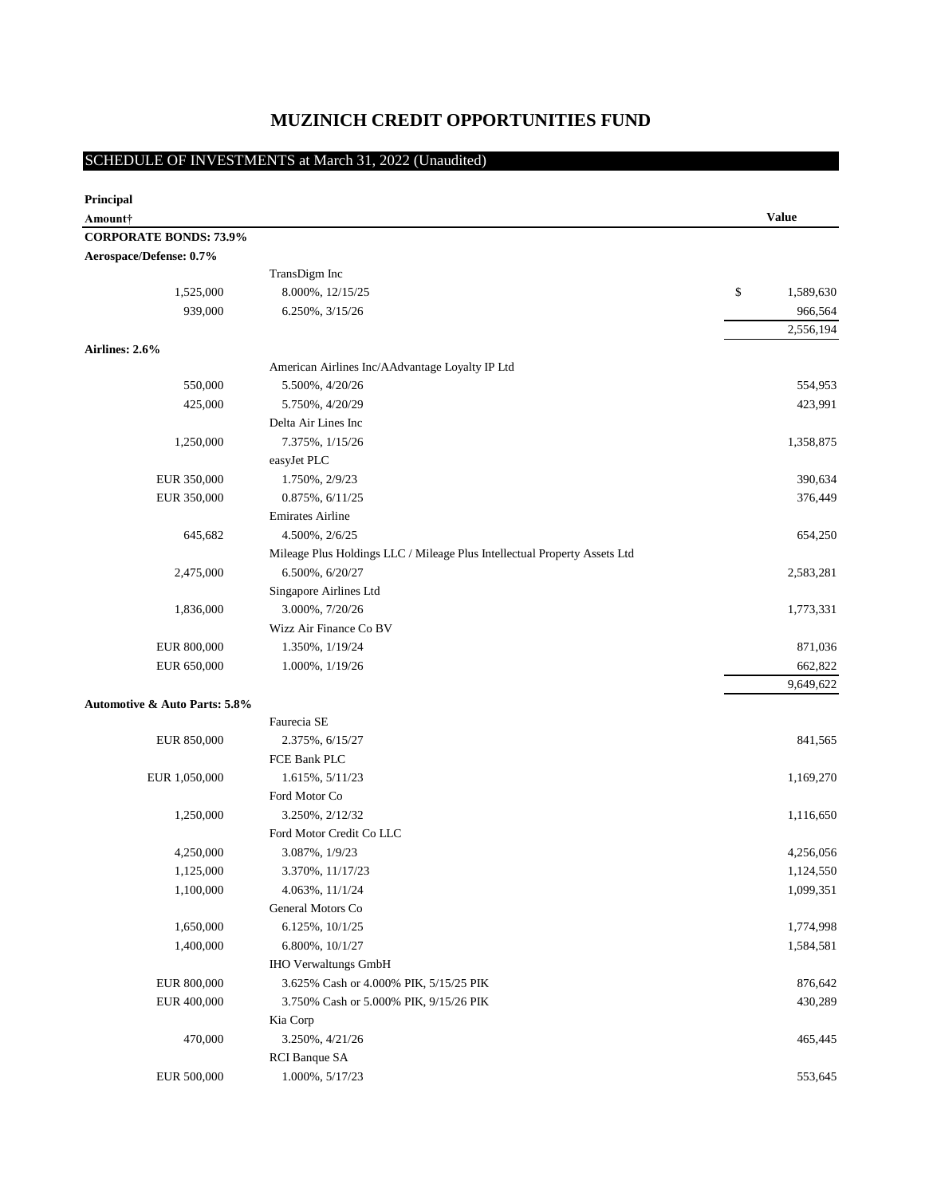# **MUZINICH CREDIT OPPORTUNITIES FUND**

# SCHEDULE OF INVESTMENTS at March 31, 2022 (Unaudited)

| <b>Value</b><br>Amount†<br><b>CORPORATE BONDS: 73.9%</b><br>Aerospace/Defense: 0.7%<br>TransDigm Inc<br>8.000%, 12/15/25<br>\$<br>1,589,630<br>1,525,000<br>939,000<br>966,564<br>6.250%, 3/15/26<br>2,556,194<br>Airlines: 2.6%<br>American Airlines Inc/AAdvantage Loyalty IP Ltd<br>550,000<br>5.500%, 4/20/26<br>554,953<br>425,000<br>423,991<br>5.750%, 4/20/29<br>Delta Air Lines Inc<br>7.375%, 1/15/26<br>1,250,000<br>1,358,875<br>easyJet PLC<br>EUR 350,000<br>1.750%, 2/9/23<br>390,634<br>EUR 350,000<br>$0.875\%, 6/11/25$<br>376,449<br><b>Emirates Airline</b><br>645,682<br>4.500%, 2/6/25<br>654,250<br>Mileage Plus Holdings LLC / Mileage Plus Intellectual Property Assets Ltd<br>2,475,000<br>6.500%, 6/20/27<br>2,583,281<br>Singapore Airlines Ltd<br>3.000%, 7/20/26<br>1,836,000<br>1,773,331<br>Wizz Air Finance Co BV<br>EUR 800,000<br>1.350%, 1/19/24<br>871,036<br>EUR 650,000<br>662,822<br>1.000%, 1/19/26<br>9,649,622<br><b>Automotive &amp; Auto Parts: 5.8%</b><br>Faurecia SE<br>EUR 850,000<br>841,565<br>2.375%, 6/15/27<br>FCE Bank PLC<br>EUR 1,050,000<br>1.615%, 5/11/23<br>1,169,270<br>Ford Motor Co<br>1,250,000<br>3.250%, 2/12/32<br>1,116,650<br>Ford Motor Credit Co LLC<br>3.087%, 1/9/23<br>4,250,000<br>4,256,056<br>1,125,000<br>3.370%, 11/17/23<br>1,124,550<br>1,100,000<br>4.063%, 11/1/24<br>1,099,351<br>General Motors Co<br>1,650,000<br>6.125%, 10/1/25<br>1,774,998<br>1,400,000<br>6.800%, 10/1/27<br>1,584,581<br><b>IHO Verwaltungs GmbH</b><br>EUR 800,000<br>876,642<br>3.625% Cash or 4.000% PIK, 5/15/25 PIK<br>EUR 400,000<br>3.750% Cash or 5.000% PIK, 9/15/26 PIK<br>430,289<br>Kia Corp<br>470,000<br>3.250%, 4/21/26<br>465,445<br><b>RCI</b> Banque SA<br>EUR 500,000<br>1.000%, 5/17/23<br>553,645 | Principal |  |  |
|-------------------------------------------------------------------------------------------------------------------------------------------------------------------------------------------------------------------------------------------------------------------------------------------------------------------------------------------------------------------------------------------------------------------------------------------------------------------------------------------------------------------------------------------------------------------------------------------------------------------------------------------------------------------------------------------------------------------------------------------------------------------------------------------------------------------------------------------------------------------------------------------------------------------------------------------------------------------------------------------------------------------------------------------------------------------------------------------------------------------------------------------------------------------------------------------------------------------------------------------------------------------------------------------------------------------------------------------------------------------------------------------------------------------------------------------------------------------------------------------------------------------------------------------------------------------------------------------------------------------------------------------------------------------------------------------------------------------------------------------------------------------------------------|-----------|--|--|
|                                                                                                                                                                                                                                                                                                                                                                                                                                                                                                                                                                                                                                                                                                                                                                                                                                                                                                                                                                                                                                                                                                                                                                                                                                                                                                                                                                                                                                                                                                                                                                                                                                                                                                                                                                                     |           |  |  |
|                                                                                                                                                                                                                                                                                                                                                                                                                                                                                                                                                                                                                                                                                                                                                                                                                                                                                                                                                                                                                                                                                                                                                                                                                                                                                                                                                                                                                                                                                                                                                                                                                                                                                                                                                                                     |           |  |  |
|                                                                                                                                                                                                                                                                                                                                                                                                                                                                                                                                                                                                                                                                                                                                                                                                                                                                                                                                                                                                                                                                                                                                                                                                                                                                                                                                                                                                                                                                                                                                                                                                                                                                                                                                                                                     |           |  |  |
|                                                                                                                                                                                                                                                                                                                                                                                                                                                                                                                                                                                                                                                                                                                                                                                                                                                                                                                                                                                                                                                                                                                                                                                                                                                                                                                                                                                                                                                                                                                                                                                                                                                                                                                                                                                     |           |  |  |
|                                                                                                                                                                                                                                                                                                                                                                                                                                                                                                                                                                                                                                                                                                                                                                                                                                                                                                                                                                                                                                                                                                                                                                                                                                                                                                                                                                                                                                                                                                                                                                                                                                                                                                                                                                                     |           |  |  |
|                                                                                                                                                                                                                                                                                                                                                                                                                                                                                                                                                                                                                                                                                                                                                                                                                                                                                                                                                                                                                                                                                                                                                                                                                                                                                                                                                                                                                                                                                                                                                                                                                                                                                                                                                                                     |           |  |  |
|                                                                                                                                                                                                                                                                                                                                                                                                                                                                                                                                                                                                                                                                                                                                                                                                                                                                                                                                                                                                                                                                                                                                                                                                                                                                                                                                                                                                                                                                                                                                                                                                                                                                                                                                                                                     |           |  |  |
|                                                                                                                                                                                                                                                                                                                                                                                                                                                                                                                                                                                                                                                                                                                                                                                                                                                                                                                                                                                                                                                                                                                                                                                                                                                                                                                                                                                                                                                                                                                                                                                                                                                                                                                                                                                     |           |  |  |
|                                                                                                                                                                                                                                                                                                                                                                                                                                                                                                                                                                                                                                                                                                                                                                                                                                                                                                                                                                                                                                                                                                                                                                                                                                                                                                                                                                                                                                                                                                                                                                                                                                                                                                                                                                                     |           |  |  |
|                                                                                                                                                                                                                                                                                                                                                                                                                                                                                                                                                                                                                                                                                                                                                                                                                                                                                                                                                                                                                                                                                                                                                                                                                                                                                                                                                                                                                                                                                                                                                                                                                                                                                                                                                                                     |           |  |  |
|                                                                                                                                                                                                                                                                                                                                                                                                                                                                                                                                                                                                                                                                                                                                                                                                                                                                                                                                                                                                                                                                                                                                                                                                                                                                                                                                                                                                                                                                                                                                                                                                                                                                                                                                                                                     |           |  |  |
|                                                                                                                                                                                                                                                                                                                                                                                                                                                                                                                                                                                                                                                                                                                                                                                                                                                                                                                                                                                                                                                                                                                                                                                                                                                                                                                                                                                                                                                                                                                                                                                                                                                                                                                                                                                     |           |  |  |
|                                                                                                                                                                                                                                                                                                                                                                                                                                                                                                                                                                                                                                                                                                                                                                                                                                                                                                                                                                                                                                                                                                                                                                                                                                                                                                                                                                                                                                                                                                                                                                                                                                                                                                                                                                                     |           |  |  |
|                                                                                                                                                                                                                                                                                                                                                                                                                                                                                                                                                                                                                                                                                                                                                                                                                                                                                                                                                                                                                                                                                                                                                                                                                                                                                                                                                                                                                                                                                                                                                                                                                                                                                                                                                                                     |           |  |  |
|                                                                                                                                                                                                                                                                                                                                                                                                                                                                                                                                                                                                                                                                                                                                                                                                                                                                                                                                                                                                                                                                                                                                                                                                                                                                                                                                                                                                                                                                                                                                                                                                                                                                                                                                                                                     |           |  |  |
|                                                                                                                                                                                                                                                                                                                                                                                                                                                                                                                                                                                                                                                                                                                                                                                                                                                                                                                                                                                                                                                                                                                                                                                                                                                                                                                                                                                                                                                                                                                                                                                                                                                                                                                                                                                     |           |  |  |
|                                                                                                                                                                                                                                                                                                                                                                                                                                                                                                                                                                                                                                                                                                                                                                                                                                                                                                                                                                                                                                                                                                                                                                                                                                                                                                                                                                                                                                                                                                                                                                                                                                                                                                                                                                                     |           |  |  |
|                                                                                                                                                                                                                                                                                                                                                                                                                                                                                                                                                                                                                                                                                                                                                                                                                                                                                                                                                                                                                                                                                                                                                                                                                                                                                                                                                                                                                                                                                                                                                                                                                                                                                                                                                                                     |           |  |  |
|                                                                                                                                                                                                                                                                                                                                                                                                                                                                                                                                                                                                                                                                                                                                                                                                                                                                                                                                                                                                                                                                                                                                                                                                                                                                                                                                                                                                                                                                                                                                                                                                                                                                                                                                                                                     |           |  |  |
|                                                                                                                                                                                                                                                                                                                                                                                                                                                                                                                                                                                                                                                                                                                                                                                                                                                                                                                                                                                                                                                                                                                                                                                                                                                                                                                                                                                                                                                                                                                                                                                                                                                                                                                                                                                     |           |  |  |
|                                                                                                                                                                                                                                                                                                                                                                                                                                                                                                                                                                                                                                                                                                                                                                                                                                                                                                                                                                                                                                                                                                                                                                                                                                                                                                                                                                                                                                                                                                                                                                                                                                                                                                                                                                                     |           |  |  |
|                                                                                                                                                                                                                                                                                                                                                                                                                                                                                                                                                                                                                                                                                                                                                                                                                                                                                                                                                                                                                                                                                                                                                                                                                                                                                                                                                                                                                                                                                                                                                                                                                                                                                                                                                                                     |           |  |  |
|                                                                                                                                                                                                                                                                                                                                                                                                                                                                                                                                                                                                                                                                                                                                                                                                                                                                                                                                                                                                                                                                                                                                                                                                                                                                                                                                                                                                                                                                                                                                                                                                                                                                                                                                                                                     |           |  |  |
|                                                                                                                                                                                                                                                                                                                                                                                                                                                                                                                                                                                                                                                                                                                                                                                                                                                                                                                                                                                                                                                                                                                                                                                                                                                                                                                                                                                                                                                                                                                                                                                                                                                                                                                                                                                     |           |  |  |
|                                                                                                                                                                                                                                                                                                                                                                                                                                                                                                                                                                                                                                                                                                                                                                                                                                                                                                                                                                                                                                                                                                                                                                                                                                                                                                                                                                                                                                                                                                                                                                                                                                                                                                                                                                                     |           |  |  |
|                                                                                                                                                                                                                                                                                                                                                                                                                                                                                                                                                                                                                                                                                                                                                                                                                                                                                                                                                                                                                                                                                                                                                                                                                                                                                                                                                                                                                                                                                                                                                                                                                                                                                                                                                                                     |           |  |  |
|                                                                                                                                                                                                                                                                                                                                                                                                                                                                                                                                                                                                                                                                                                                                                                                                                                                                                                                                                                                                                                                                                                                                                                                                                                                                                                                                                                                                                                                                                                                                                                                                                                                                                                                                                                                     |           |  |  |
|                                                                                                                                                                                                                                                                                                                                                                                                                                                                                                                                                                                                                                                                                                                                                                                                                                                                                                                                                                                                                                                                                                                                                                                                                                                                                                                                                                                                                                                                                                                                                                                                                                                                                                                                                                                     |           |  |  |
|                                                                                                                                                                                                                                                                                                                                                                                                                                                                                                                                                                                                                                                                                                                                                                                                                                                                                                                                                                                                                                                                                                                                                                                                                                                                                                                                                                                                                                                                                                                                                                                                                                                                                                                                                                                     |           |  |  |
|                                                                                                                                                                                                                                                                                                                                                                                                                                                                                                                                                                                                                                                                                                                                                                                                                                                                                                                                                                                                                                                                                                                                                                                                                                                                                                                                                                                                                                                                                                                                                                                                                                                                                                                                                                                     |           |  |  |
|                                                                                                                                                                                                                                                                                                                                                                                                                                                                                                                                                                                                                                                                                                                                                                                                                                                                                                                                                                                                                                                                                                                                                                                                                                                                                                                                                                                                                                                                                                                                                                                                                                                                                                                                                                                     |           |  |  |
|                                                                                                                                                                                                                                                                                                                                                                                                                                                                                                                                                                                                                                                                                                                                                                                                                                                                                                                                                                                                                                                                                                                                                                                                                                                                                                                                                                                                                                                                                                                                                                                                                                                                                                                                                                                     |           |  |  |
|                                                                                                                                                                                                                                                                                                                                                                                                                                                                                                                                                                                                                                                                                                                                                                                                                                                                                                                                                                                                                                                                                                                                                                                                                                                                                                                                                                                                                                                                                                                                                                                                                                                                                                                                                                                     |           |  |  |
|                                                                                                                                                                                                                                                                                                                                                                                                                                                                                                                                                                                                                                                                                                                                                                                                                                                                                                                                                                                                                                                                                                                                                                                                                                                                                                                                                                                                                                                                                                                                                                                                                                                                                                                                                                                     |           |  |  |
|                                                                                                                                                                                                                                                                                                                                                                                                                                                                                                                                                                                                                                                                                                                                                                                                                                                                                                                                                                                                                                                                                                                                                                                                                                                                                                                                                                                                                                                                                                                                                                                                                                                                                                                                                                                     |           |  |  |
|                                                                                                                                                                                                                                                                                                                                                                                                                                                                                                                                                                                                                                                                                                                                                                                                                                                                                                                                                                                                                                                                                                                                                                                                                                                                                                                                                                                                                                                                                                                                                                                                                                                                                                                                                                                     |           |  |  |
|                                                                                                                                                                                                                                                                                                                                                                                                                                                                                                                                                                                                                                                                                                                                                                                                                                                                                                                                                                                                                                                                                                                                                                                                                                                                                                                                                                                                                                                                                                                                                                                                                                                                                                                                                                                     |           |  |  |
|                                                                                                                                                                                                                                                                                                                                                                                                                                                                                                                                                                                                                                                                                                                                                                                                                                                                                                                                                                                                                                                                                                                                                                                                                                                                                                                                                                                                                                                                                                                                                                                                                                                                                                                                                                                     |           |  |  |
|                                                                                                                                                                                                                                                                                                                                                                                                                                                                                                                                                                                                                                                                                                                                                                                                                                                                                                                                                                                                                                                                                                                                                                                                                                                                                                                                                                                                                                                                                                                                                                                                                                                                                                                                                                                     |           |  |  |
|                                                                                                                                                                                                                                                                                                                                                                                                                                                                                                                                                                                                                                                                                                                                                                                                                                                                                                                                                                                                                                                                                                                                                                                                                                                                                                                                                                                                                                                                                                                                                                                                                                                                                                                                                                                     |           |  |  |
|                                                                                                                                                                                                                                                                                                                                                                                                                                                                                                                                                                                                                                                                                                                                                                                                                                                                                                                                                                                                                                                                                                                                                                                                                                                                                                                                                                                                                                                                                                                                                                                                                                                                                                                                                                                     |           |  |  |
|                                                                                                                                                                                                                                                                                                                                                                                                                                                                                                                                                                                                                                                                                                                                                                                                                                                                                                                                                                                                                                                                                                                                                                                                                                                                                                                                                                                                                                                                                                                                                                                                                                                                                                                                                                                     |           |  |  |
|                                                                                                                                                                                                                                                                                                                                                                                                                                                                                                                                                                                                                                                                                                                                                                                                                                                                                                                                                                                                                                                                                                                                                                                                                                                                                                                                                                                                                                                                                                                                                                                                                                                                                                                                                                                     |           |  |  |
|                                                                                                                                                                                                                                                                                                                                                                                                                                                                                                                                                                                                                                                                                                                                                                                                                                                                                                                                                                                                                                                                                                                                                                                                                                                                                                                                                                                                                                                                                                                                                                                                                                                                                                                                                                                     |           |  |  |
|                                                                                                                                                                                                                                                                                                                                                                                                                                                                                                                                                                                                                                                                                                                                                                                                                                                                                                                                                                                                                                                                                                                                                                                                                                                                                                                                                                                                                                                                                                                                                                                                                                                                                                                                                                                     |           |  |  |
|                                                                                                                                                                                                                                                                                                                                                                                                                                                                                                                                                                                                                                                                                                                                                                                                                                                                                                                                                                                                                                                                                                                                                                                                                                                                                                                                                                                                                                                                                                                                                                                                                                                                                                                                                                                     |           |  |  |
|                                                                                                                                                                                                                                                                                                                                                                                                                                                                                                                                                                                                                                                                                                                                                                                                                                                                                                                                                                                                                                                                                                                                                                                                                                                                                                                                                                                                                                                                                                                                                                                                                                                                                                                                                                                     |           |  |  |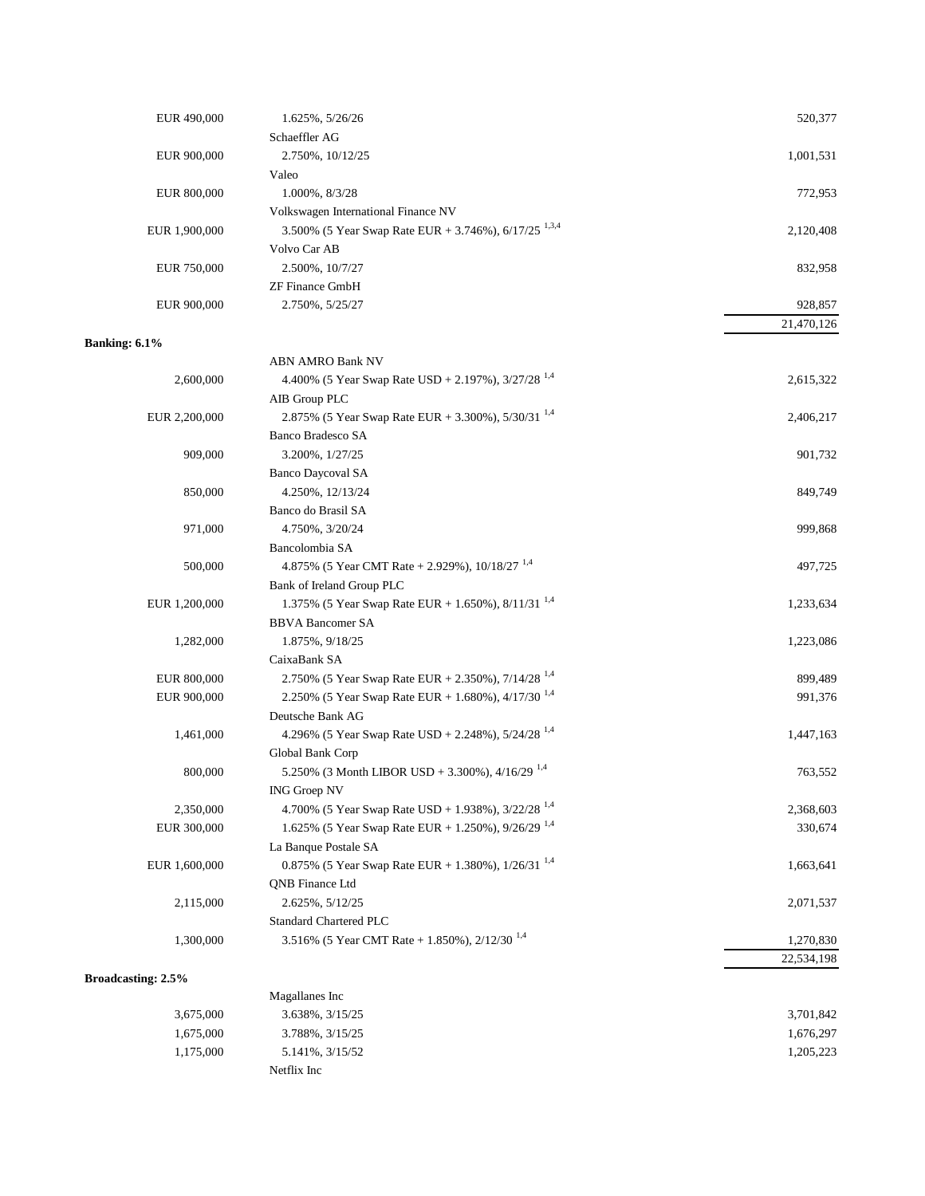| EUR 490,000               | 1.625%, 5/26/26                                                  | 520,377    |
|---------------------------|------------------------------------------------------------------|------------|
|                           | Schaeffler AG                                                    |            |
| EUR 900,000               | 2.750%, 10/12/25                                                 | 1,001,531  |
|                           | Valeo                                                            |            |
| EUR 800,000               | 1.000%, 8/3/28                                                   | 772,953    |
|                           | Volkswagen International Finance NV                              |            |
| EUR 1,900,000             | 3.500% (5 Year Swap Rate EUR + 3.746%), 6/17/25 <sup>1,3,4</sup> | 2,120,408  |
|                           | Volvo Car AB                                                     |            |
| EUR 750,000               | 2.500%, 10/7/27                                                  | 832,958    |
|                           | <b>ZF Finance GmbH</b>                                           |            |
| EUR 900,000               | 2.750%, 5/25/27                                                  | 928,857    |
|                           |                                                                  | 21,470,126 |
| Banking: 6.1%             |                                                                  |            |
|                           | <b>ABN AMRO Bank NV</b>                                          |            |
| 2,600,000                 | 4.400% (5 Year Swap Rate USD + 2.197%), $3/27/28^{1,4}$          | 2,615,322  |
|                           | AIB Group PLC                                                    |            |
| EUR 2,200,000             | 2.875% (5 Year Swap Rate EUR + 3.300%), 5/30/31 <sup>1,4</sup>   | 2,406,217  |
|                           | Banco Bradesco SA                                                |            |
| 909,000                   | 3.200%, 1/27/25                                                  | 901,732    |
|                           | <b>Banco Daycoval SA</b>                                         |            |
| 850,000                   | 4.250%, 12/13/24                                                 | 849,749    |
|                           | Banco do Brasil SA                                               |            |
| 971,000                   | 4.750%, 3/20/24                                                  | 999,868    |
|                           | Bancolombia SA                                                   |            |
| 500,000                   | 4.875% (5 Year CMT Rate + 2.929%), $10/18/27$ <sup>1,4</sup>     | 497,725    |
|                           | Bank of Ireland Group PLC                                        |            |
| EUR 1,200,000             | 1.375% (5 Year Swap Rate EUR + 1.650%), $8/11/31^{1,4}$          | 1,233,634  |
|                           | <b>BBVA Bancomer SA</b>                                          |            |
| 1,282,000                 | 1.875%, $9/18/25$                                                | 1,223,086  |
|                           | CaixaBank SA                                                     |            |
| EUR 800,000               | 2.750% (5 Year Swap Rate EUR + 2.350%), $7/14/28^{1.4}$          | 899,489    |
| EUR 900,000               | 2.250% (5 Year Swap Rate EUR + 1.680%), 4/17/30 <sup>1,4</sup>   | 991,376    |
|                           | Deutsche Bank AG                                                 |            |
| 1,461,000                 | 4.296% (5 Year Swap Rate USD + 2.248%), $5/24/28^{1,4}$          | 1,447,163  |
|                           | Global Bank Corp                                                 |            |
| 800,000                   | 5.250% (3 Month LIBOR USD + 3.300%), 4/16/29 <sup>1,4</sup>      | 763,552    |
|                           | <b>ING Groep NV</b>                                              |            |
| 2,350,000                 | 4.700% (5 Year Swap Rate USD + 1.938%), $3/22/28$ <sup>1,4</sup> | 2,368,603  |
| EUR 300,000               | 1.625% (5 Year Swap Rate EUR + 1.250%), 9/26/29 <sup>1,4</sup>   | 330,674    |
|                           | La Banque Postale SA                                             |            |
| EUR 1,600,000             | 0.875% (5 Year Swap Rate EUR + 1.380%), $1/26/31^{1,4}$          | 1,663,641  |
|                           | <b>QNB</b> Finance Ltd                                           |            |
| 2,115,000                 | 2.625%, 5/12/25                                                  | 2,071,537  |
|                           | <b>Standard Chartered PLC</b>                                    |            |
| 1,300,000                 | 3.516% (5 Year CMT Rate + 1.850%), 2/12/30 <sup>1,4</sup>        | 1,270,830  |
|                           |                                                                  | 22,534,198 |
| <b>Broadcasting: 2.5%</b> |                                                                  |            |
|                           | Magallanes Inc                                                   |            |
| 3,675,000                 | 3.638%, 3/15/25                                                  | 3,701,842  |
| 1,675,000                 | 3.788%, 3/15/25                                                  | 1,676,297  |
| 1,175,000                 | 5.141%, 3/15/52                                                  | 1,205,223  |
|                           |                                                                  |            |

Netflix Inc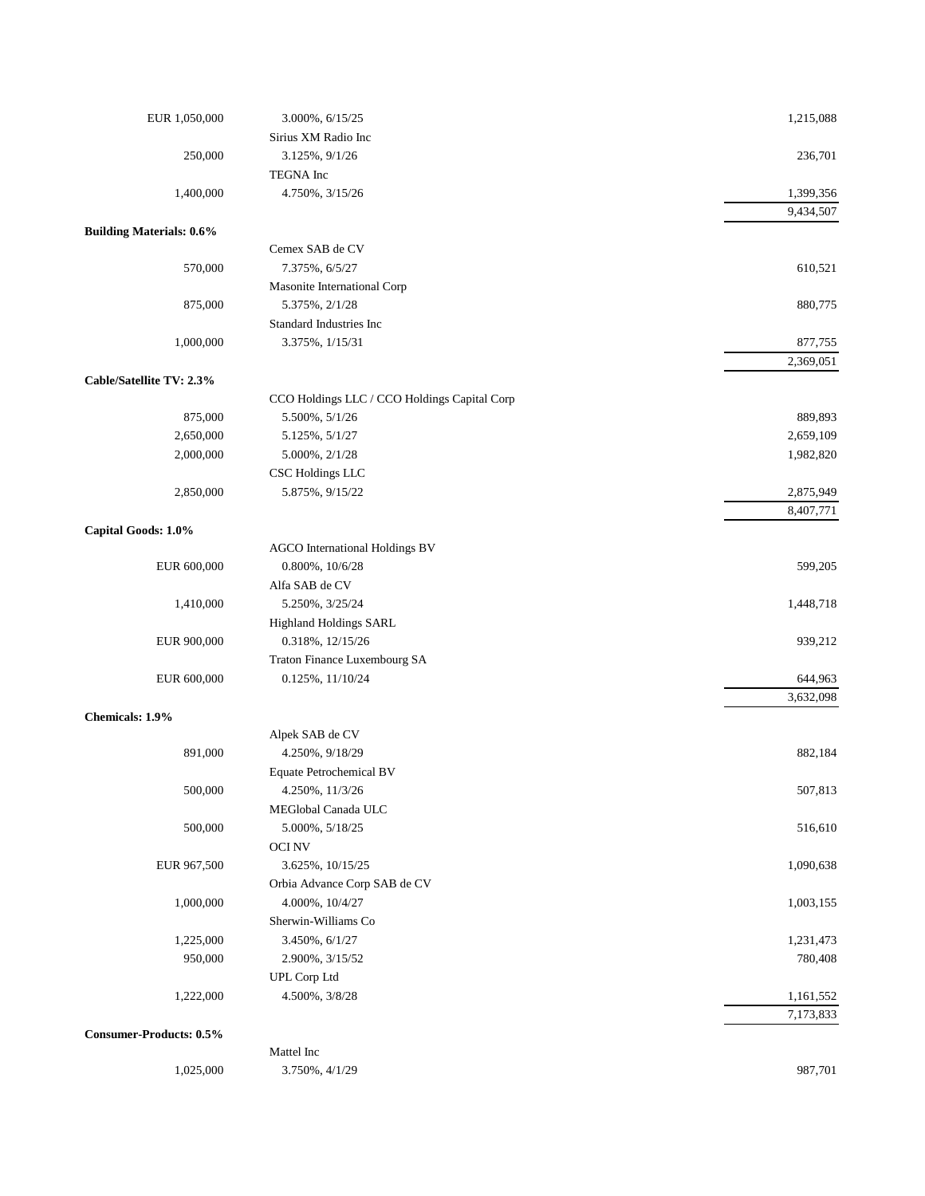| EUR 1,050,000                   | 3.000%, 6/15/25                              | 1,215,088            |
|---------------------------------|----------------------------------------------|----------------------|
|                                 | Sirius XM Radio Inc                          |                      |
| 250,000                         | 3.125%, $9/1/26$                             | 236,701              |
|                                 | TEGNA Inc                                    |                      |
| 1,400,000                       | 4.750%, 3/15/26                              | 1,399,356            |
|                                 |                                              | 9,434,507            |
| <b>Building Materials: 0.6%</b> |                                              |                      |
|                                 | Cemex SAB de CV                              |                      |
| 570,000                         | 7.375%, 6/5/27                               | 610,521              |
|                                 | Masonite International Corp                  |                      |
| 875,000                         | 5.375%, 2/1/28                               | 880,775              |
|                                 | Standard Industries Inc                      |                      |
| 1,000,000                       | 3.375%, 1/15/31                              | 877,755              |
|                                 |                                              | 2,369,051            |
| Cable/Satellite TV: 2.3%        |                                              |                      |
|                                 | CCO Holdings LLC / CCO Holdings Capital Corp |                      |
| 875,000                         | 5.500%, 5/1/26                               | 889,893              |
| 2,650,000                       | 5.125%, 5/1/27                               | 2,659,109            |
| 2,000,000                       | 5.000%, 2/1/28                               | 1,982,820            |
|                                 | CSC Holdings LLC                             |                      |
| 2,850,000                       | 5.875%, 9/15/22                              | 2,875,949            |
|                                 |                                              | 8,407,771            |
| Capital Goods: 1.0%             |                                              |                      |
|                                 | AGCO International Holdings BV               |                      |
| EUR 600,000                     | 0.800%, 10/6/28                              | 599,205              |
|                                 | Alfa SAB de CV                               |                      |
| 1,410,000                       | 5.250%, 3/25/24                              | 1,448,718            |
|                                 | Highland Holdings SARL                       |                      |
| EUR 900,000                     | 0.318%, 12/15/26                             | 939,212              |
|                                 | Traton Finance Luxembourg SA                 |                      |
| EUR 600,000                     | $0.125\%, 11/10/24$                          | 644,963<br>3,632,098 |
| Chemicals: 1.9%                 |                                              |                      |
|                                 | Alpek SAB de CV                              |                      |
| 891,000                         | 4.250%, 9/18/29                              | 882,184              |
|                                 | <b>Equate Petrochemical BV</b>               |                      |
| 500,000                         | 4.250%, 11/3/26                              | 507,813              |
|                                 | MEGlobal Canada ULC                          |                      |
| 500,000                         | 5.000%, 5/18/25                              | 516,610              |
|                                 | <b>OCINV</b>                                 |                      |
| EUR 967,500                     | 3.625%, 10/15/25                             | 1,090,638            |
|                                 | Orbia Advance Corp SAB de CV                 |                      |
| 1,000,000                       | 4.000%, 10/4/27                              | 1,003,155            |
|                                 | Sherwin-Williams Co                          |                      |
| 1,225,000                       | 3.450%, 6/1/27                               | 1,231,473            |
| 950,000                         | 2.900%, 3/15/52                              | 780,408              |
|                                 | UPL Corp Ltd                                 |                      |
| 1,222,000                       | 4.500%, 3/8/28                               | 1,161,552            |
|                                 |                                              | 7,173,833            |
| <b>Consumer-Products: 0.5%</b>  |                                              |                      |
|                                 | Mattel Inc                                   |                      |
| 1,025,000                       | 3.750%, 4/1/29                               | 987,701              |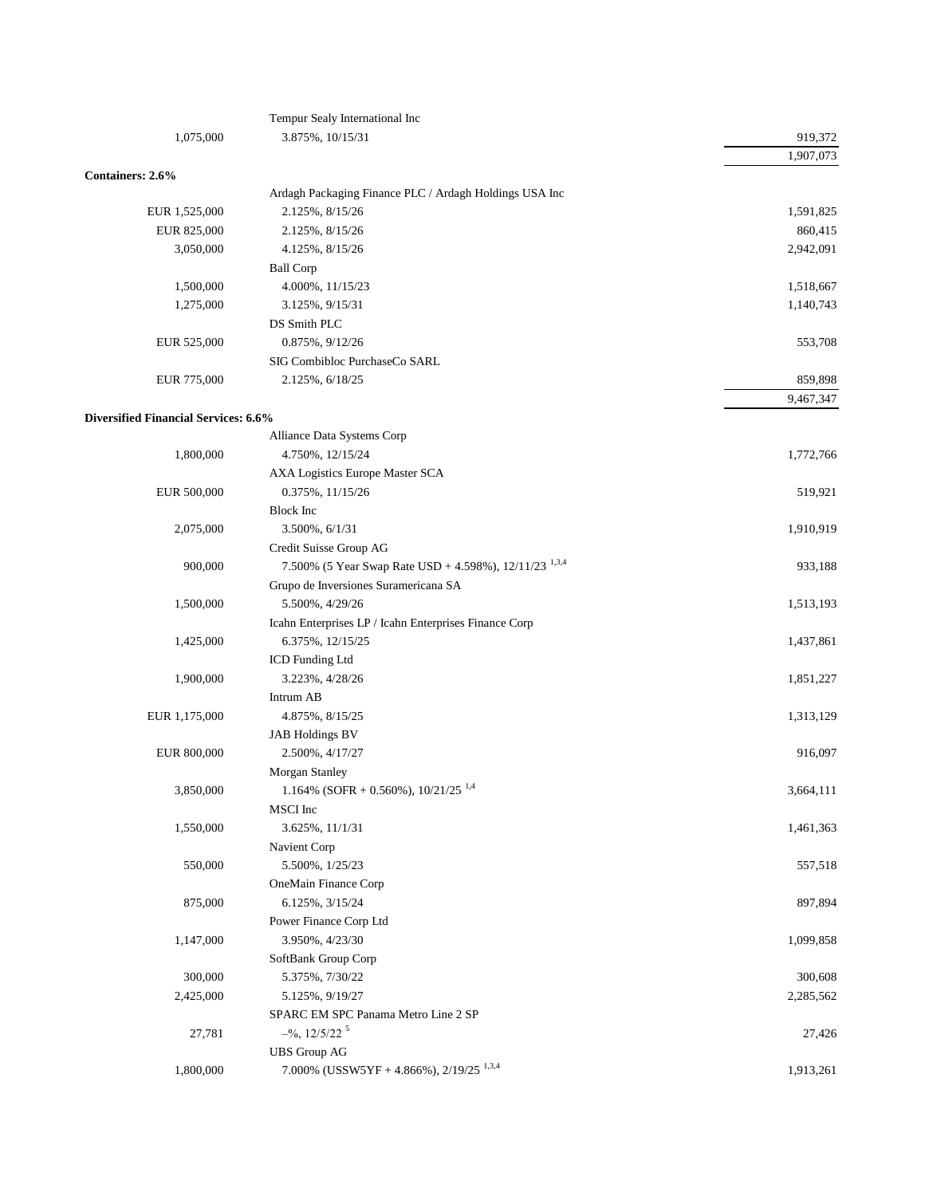|                                      | Tempur Sealy International Inc                                    |           |
|--------------------------------------|-------------------------------------------------------------------|-----------|
| 1,075,000                            | 3.875%, 10/15/31                                                  | 919,372   |
|                                      |                                                                   | 1,907,073 |
| Containers: 2.6%                     |                                                                   |           |
|                                      | Ardagh Packaging Finance PLC / Ardagh Holdings USA Inc            |           |
| EUR 1,525,000                        | 2.125%, 8/15/26                                                   | 1,591,825 |
| EUR 825,000                          | 2.125%, 8/15/26                                                   | 860,415   |
| 3,050,000                            | 4.125%, 8/15/26                                                   | 2,942,091 |
|                                      | <b>Ball Corp</b>                                                  |           |
| 1,500,000                            | 4.000%, 11/15/23                                                  | 1,518,667 |
| 1,275,000                            | 3.125%, 9/15/31                                                   | 1,140,743 |
|                                      | DS Smith PLC                                                      |           |
| EUR 525,000                          | 0.875%, 9/12/26                                                   | 553,708   |
|                                      | SIG Combibloc PurchaseCo SARL                                     |           |
| EUR 775,000                          | 2.125%, 6/18/25                                                   | 859,898   |
|                                      |                                                                   | 9,467,347 |
| Diversified Financial Services: 6.6% |                                                                   |           |
|                                      | Alliance Data Systems Corp                                        |           |
| 1,800,000                            | 4.750%, 12/15/24                                                  | 1,772,766 |
|                                      | AXA Logistics Europe Master SCA                                   |           |
| EUR 500,000                          | 0.375%, 11/15/26                                                  | 519,921   |
|                                      | <b>Block</b> Inc                                                  |           |
| 2,075,000                            | 3.500%, 6/1/31                                                    | 1,910,919 |
|                                      | Credit Suisse Group AG                                            |           |
| 900,000                              | 7.500% (5 Year Swap Rate USD + 4.598%), 12/11/23 <sup>1,3,4</sup> | 933,188   |
|                                      | Grupo de Inversiones Suramericana SA                              |           |
| 1,500,000                            | 5.500%, 4/29/26                                                   | 1,513,193 |
|                                      | Icahn Enterprises LP / Icahn Enterprises Finance Corp             |           |
| 1,425,000                            | 6.375%, 12/15/25                                                  | 1,437,861 |
|                                      | ICD Funding Ltd                                                   |           |
| 1,900,000                            | 3.223%, 4/28/26                                                   | 1,851,227 |
|                                      | Intrum AB                                                         |           |
| EUR 1,175,000                        | 4.875%, 8/15/25                                                   | 1,313,129 |
|                                      | <b>JAB Holdings BV</b>                                            |           |
| EUR 800,000                          | 2.500%, 4/17/27                                                   | 916,097   |
|                                      | Morgan Stanley                                                    |           |
| 3,850,000                            | 1.164% (SOFR + 0.560%), $10/21/25$ <sup>1,4</sup>                 | 3,664,111 |
|                                      | MSCI Inc                                                          |           |
| 1,550,000                            | 3.625%, 11/1/31                                                   | 1,461,363 |
|                                      | Navient Corp                                                      |           |
| 550,000                              | 5.500%, 1/25/23                                                   | 557,518   |
|                                      | OneMain Finance Corp                                              |           |
| 875,000                              | 6.125%, 3/15/24                                                   | 897,894   |
|                                      | Power Finance Corp Ltd                                            |           |
| 1,147,000                            | 3.950%, 4/23/30                                                   | 1,099,858 |
|                                      | SoftBank Group Corp                                               |           |
| 300,000                              | 5.375%, 7/30/22                                                   |           |
|                                      |                                                                   | 300,608   |
| 2,425,000                            | 5.125%, 9/19/27                                                   | 2,285,562 |
|                                      | SPARC EM SPC Panama Metro Line 2 SP                               |           |
| 27,781                               | $-$ %, 12/5/22 <sup>5</sup>                                       | 27,426    |
|                                      | <b>UBS</b> Group AG                                               |           |
| 1,800,000                            | 7.000% (USSW5YF + 4.866%), $2/19/25$ <sup>1,3,4</sup>             | 1,913,261 |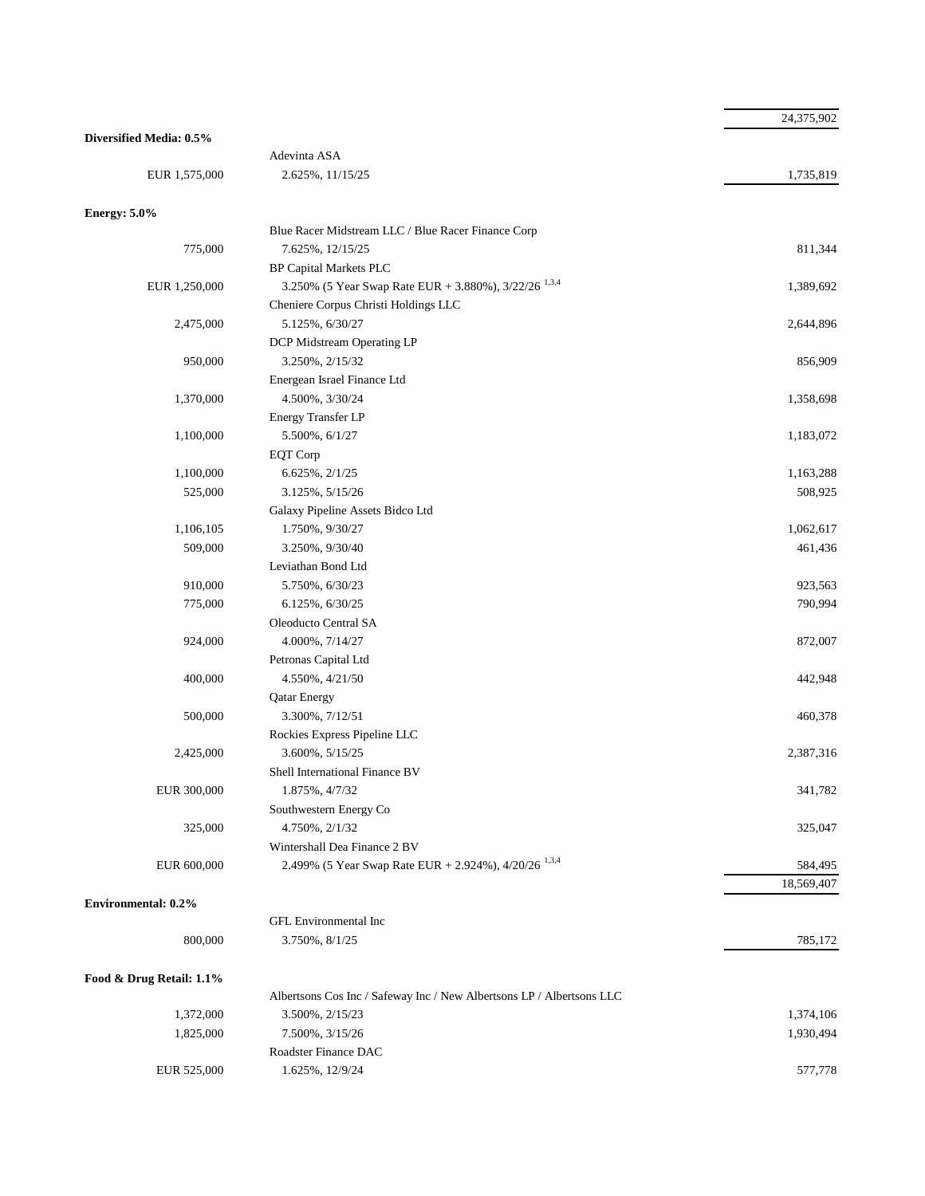|                          |                                                                       | 24,375,902 |
|--------------------------|-----------------------------------------------------------------------|------------|
| Diversified Media: 0.5%  |                                                                       |            |
|                          | Adevinta ASA                                                          |            |
| EUR 1,575,000            | 2.625%, 11/15/25                                                      | 1,735,819  |
|                          |                                                                       |            |
| <b>Energy: 5.0%</b>      | Blue Racer Midstream LLC / Blue Racer Finance Corp                    |            |
|                          |                                                                       |            |
| 775,000                  | 7.625%, 12/15/25<br><b>BP Capital Markets PLC</b>                     | 811,344    |
|                          | 3.250% (5 Year Swap Rate EUR + 3.880%), $3/22/26$ <sup>1,3,4</sup>    | 1,389,692  |
| EUR 1,250,000            |                                                                       |            |
|                          | Cheniere Corpus Christi Holdings LLC<br>5.125%, 6/30/27               |            |
| 2,475,000                |                                                                       | 2,644,896  |
|                          | DCP Midstream Operating LP                                            |            |
| 950,000                  | 3.250%, 2/15/32                                                       | 856,909    |
|                          | Energean Israel Finance Ltd                                           |            |
| 1,370,000                | 4.500%, 3/30/24                                                       | 1,358,698  |
|                          | Energy Transfer LP                                                    |            |
| 1,100,000                | 5.500%, 6/1/27                                                        | 1,183,072  |
|                          | EQT Corp                                                              |            |
| 1,100,000                | 6.625%, 2/1/25                                                        | 1,163,288  |
| 525,000                  | 3.125%, 5/15/26                                                       | 508,925    |
|                          | Galaxy Pipeline Assets Bidco Ltd                                      |            |
| 1,106,105                | 1.750%, 9/30/27                                                       | 1,062,617  |
| 509,000                  | 3.250%, 9/30/40                                                       | 461,436    |
|                          | Leviathan Bond Ltd                                                    |            |
| 910,000                  | 5.750%, 6/30/23                                                       | 923,563    |
| 775,000                  | 6.125%, 6/30/25                                                       | 790,994    |
|                          | Oleoducto Central SA                                                  |            |
| 924,000                  | 4.000%, 7/14/27                                                       | 872,007    |
|                          | Petronas Capital Ltd                                                  |            |
| 400,000                  | 4.550%, 4/21/50                                                       | 442,948    |
|                          | <b>Qatar Energy</b>                                                   |            |
| 500,000                  | 3.300%, 7/12/51                                                       | 460,378    |
|                          | Rockies Express Pipeline LLC                                          |            |
| 2,425,000                | 3.600%, 5/15/25                                                       | 2,387,316  |
|                          | Shell International Finance BV                                        |            |
| EUR 300,000              | 1.875%, 4/7/32                                                        | 341,782    |
|                          | Southwestern Energy Co                                                |            |
| 325,000                  | 4.750%, 2/1/32                                                        | 325,047    |
|                          | Wintershall Dea Finance 2 BV                                          |            |
| EUR 600,000              | 2.499% (5 Year Swap Rate EUR + 2.924%), 4/20/26 <sup>1,3,4</sup>      | 584,495    |
|                          |                                                                       | 18,569,407 |
| Environmental: 0.2%      |                                                                       |            |
|                          | <b>GFL Environmental Inc</b>                                          |            |
| 800,000                  | 3.750%, 8/1/25                                                        | 785,172    |
|                          |                                                                       |            |
| Food & Drug Retail: 1.1% | Albertsons Cos Inc / Safeway Inc / New Albertsons LP / Albertsons LLC |            |
| 1,372,000                | 3.500%, 2/15/23                                                       | 1,374,106  |
| 1,825,000                | 7.500%, 3/15/26                                                       | 1,930,494  |
|                          | Roadster Finance DAC                                                  |            |
| EUR 525,000              | 1.625%, 12/9/24                                                       | 577,778    |
|                          |                                                                       |            |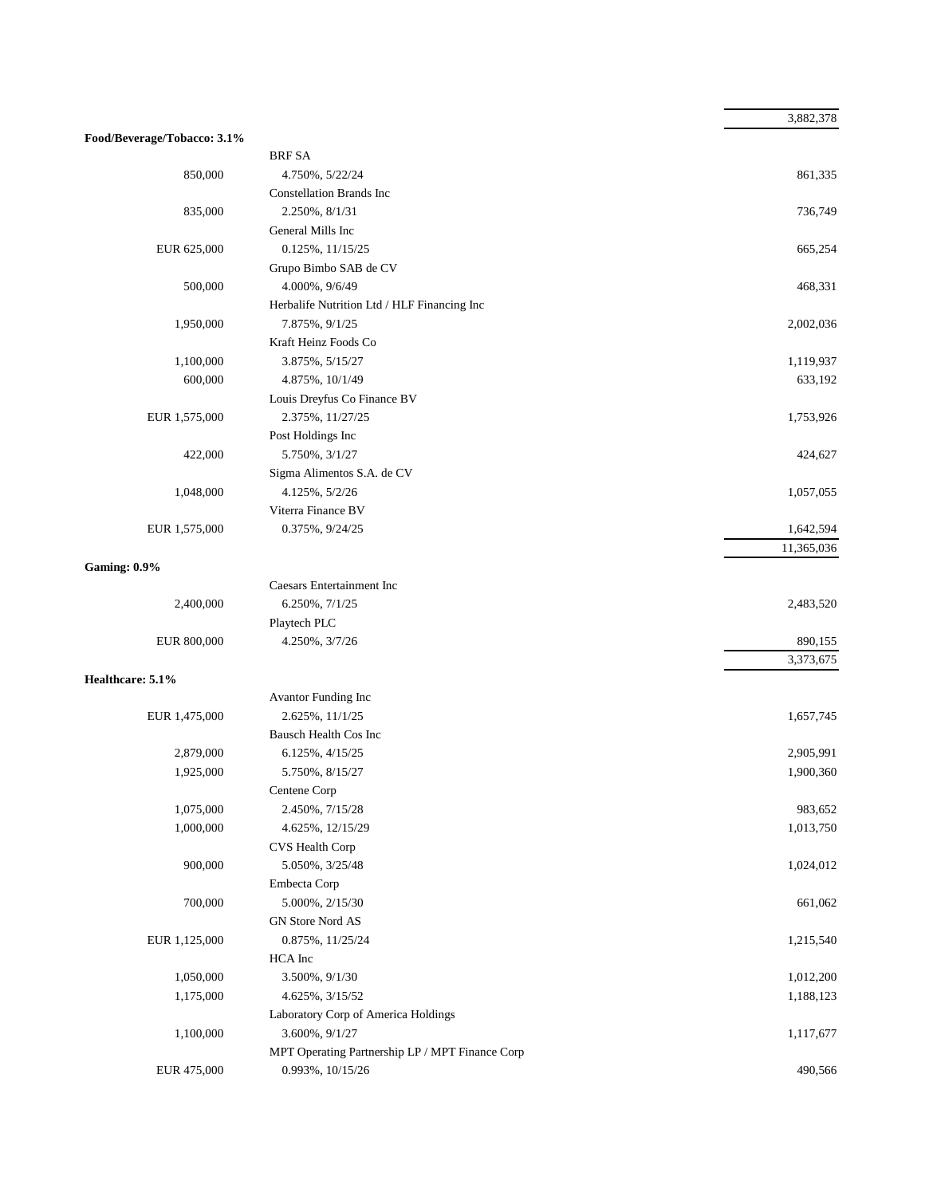|                             |                                                 | 3,882,378  |
|-----------------------------|-------------------------------------------------|------------|
| Food/Beverage/Tobacco: 3.1% |                                                 |            |
|                             | <b>BRF SA</b>                                   |            |
| 850,000                     | 4.750%, 5/22/24                                 | 861,335    |
|                             | <b>Constellation Brands Inc</b>                 |            |
| 835,000                     | 2.250%, 8/1/31                                  | 736,749    |
|                             | General Mills Inc                               |            |
| EUR 625,000                 | $0.125\%, 11/15/25$                             | 665,254    |
|                             | Grupo Bimbo SAB de CV                           |            |
| 500,000                     | 4.000%, 9/6/49                                  | 468,331    |
|                             | Herbalife Nutrition Ltd / HLF Financing Inc     |            |
| 1,950,000                   | 7.875%, $9/1/25$                                | 2,002,036  |
|                             | Kraft Heinz Foods Co                            |            |
| 1,100,000                   | 3.875%, 5/15/27                                 | 1,119,937  |
| 600,000                     | 4.875%, 10/1/49                                 | 633,192    |
|                             | Louis Dreyfus Co Finance BV                     |            |
| EUR 1,575,000               | 2.375%, 11/27/25                                | 1,753,926  |
|                             | Post Holdings Inc                               |            |
| 422,000                     | 5.750%, 3/1/27                                  | 424,627    |
|                             | Sigma Alimentos S.A. de CV                      |            |
| 1,048,000                   | 4.125%, 5/2/26                                  | 1,057,055  |
|                             | Viterra Finance BV                              |            |
| EUR 1,575,000               | 0.375%, 9/24/25                                 | 1,642,594  |
|                             |                                                 | 11,365,036 |
| <b>Gaming: 0.9%</b>         |                                                 |            |
|                             | <b>Caesars Entertainment Inc</b>                |            |
| 2,400,000                   | 6.250%, 7/1/25                                  | 2,483,520  |
|                             | Playtech PLC                                    |            |
| EUR 800,000                 | 4.250%, 3/7/26                                  | 890,155    |
|                             |                                                 | 3,373,675  |
| Healthcare: 5.1%            |                                                 |            |
|                             | Avantor Funding Inc                             |            |
| EUR 1,475,000               | 2.625%, 11/1/25                                 | 1,657,745  |
|                             | Bausch Health Cos Inc                           |            |
| 2,879,000                   | 6.125%, 4/15/25                                 | 2,905,991  |
| 1,925,000                   | 5.750%, 8/15/27                                 | 1,900,360  |
|                             | Centene Corp                                    |            |
| 1,075,000                   | 2.450%, 7/15/28                                 | 983,652    |
| 1,000,000                   | 4.625%, 12/15/29                                | 1,013,750  |
|                             | CVS Health Corp                                 |            |
| 900,000                     | 5.050%, 3/25/48                                 | 1,024,012  |
|                             | Embecta Corp                                    |            |
| 700,000                     | 5.000%, 2/15/30                                 | 661,062    |
|                             | GN Store Nord AS                                |            |
| EUR 1,125,000               | 0.875%, 11/25/24                                | 1,215,540  |
|                             | HCA Inc                                         |            |
| 1,050,000                   | 3.500%, 9/1/30                                  | 1,012,200  |
| 1,175,000                   | 4.625%, 3/15/52                                 | 1,188,123  |
|                             | Laboratory Corp of America Holdings             |            |
| 1,100,000                   | 3.600%, 9/1/27                                  | 1,117,677  |
|                             | MPT Operating Partnership LP / MPT Finance Corp |            |
| EUR 475,000                 | 0.993%, 10/15/26                                | 490,566    |
|                             |                                                 |            |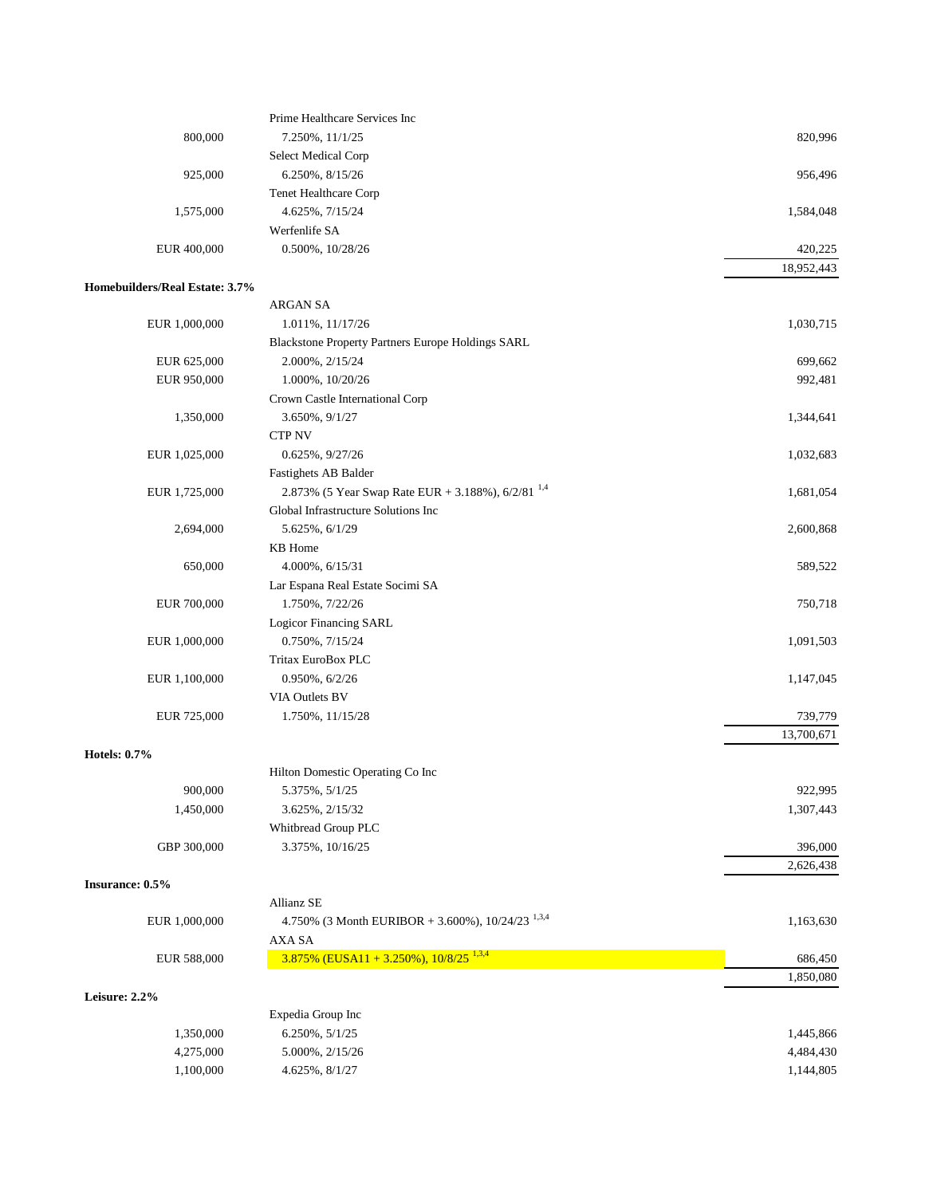|                                | Prime Healthcare Services Inc                                  |            |
|--------------------------------|----------------------------------------------------------------|------------|
| 800,000                        | 7.250%, 11/1/25                                                | 820,996    |
|                                | Select Medical Corp                                            |            |
| 925,000                        | 6.250%, 8/15/26                                                | 956,496    |
|                                | <b>Tenet Healthcare Corp</b>                                   |            |
| 1,575,000                      | 4.625%, 7/15/24                                                | 1,584,048  |
|                                | Werfenlife SA                                                  |            |
| EUR 400,000                    | 0.500%, 10/28/26                                               | 420,225    |
|                                |                                                                | 18,952,443 |
| Homebuilders/Real Estate: 3.7% |                                                                |            |
|                                | ARGAN SA                                                       |            |
| EUR 1,000,000                  | 1.011%, 11/17/26                                               | 1,030,715  |
|                                | Blackstone Property Partners Europe Holdings SARL              |            |
| EUR 625,000                    | 2.000%, 2/15/24                                                | 699,662    |
| EUR 950,000                    | 1.000%, 10/20/26                                               | 992,481    |
|                                | Crown Castle International Corp                                |            |
| 1,350,000                      | 3.650%, 9/1/27                                                 | 1,344,641  |
|                                | <b>CTP NV</b>                                                  |            |
| EUR 1,025,000                  | $0.625\%, 9/27/26$                                             | 1,032,683  |
|                                | Fastighets AB Balder                                           |            |
| EUR 1,725,000                  | 2.873% (5 Year Swap Rate EUR + 3.188%), $6/2/81^{1.4}$         | 1,681,054  |
|                                | Global Infrastructure Solutions Inc                            |            |
| 2,694,000                      | 5.625%, 6/1/29                                                 | 2,600,868  |
|                                | KB Home                                                        |            |
| 650,000                        | 4.000%, 6/15/31                                                | 589,522    |
|                                | Lar Espana Real Estate Socimi SA                               |            |
| EUR 700,000                    | 1.750%, 7/22/26                                                | 750,718    |
|                                | Logicor Financing SARL                                         |            |
| EUR 1,000,000                  | 0.750%, 7/15/24                                                | 1,091,503  |
|                                | Tritax EuroBox PLC                                             |            |
| EUR 1,100,000                  | $0.950\%, 6/2/26$                                              | 1,147,045  |
|                                | VIA Outlets BV                                                 |            |
| EUR 725,000                    | 1.750%, 11/15/28                                               | 739,779    |
|                                |                                                                | 13,700,671 |
| <b>Hotels: 0.7%</b>            |                                                                |            |
|                                | Hilton Domestic Operating Co Inc                               |            |
| 900,000                        | 5.375%, 5/1/25                                                 | 922,995    |
| 1,450,000                      | 3.625%, 2/15/32                                                | 1,307,443  |
|                                | Whitbread Group PLC                                            |            |
| GBP 300,000                    | 3.375%, 10/16/25                                               | 396,000    |
|                                |                                                                | 2,626,438  |
| Insurance: 0.5%                |                                                                |            |
|                                | Allianz SE                                                     |            |
| EUR 1,000,000                  | 4.750% (3 Month EURIBOR + 3.600%), $10/24/23$ <sup>1,3,4</sup> | 1,163,630  |
|                                | AXA SA                                                         |            |
| EUR 588,000                    | $3.875\%$ (EUSA11 + 3.250%), $10/8/25$ <sup>1,3,4</sup>        | 686,450    |
|                                |                                                                | 1,850,080  |
| Leisure: 2.2%                  |                                                                |            |
|                                | Expedia Group Inc                                              |            |
| 1,350,000                      | 6.250%, 5/1/25                                                 | 1,445,866  |
| 4,275,000                      | 5.000%, 2/15/26                                                | 4,484,430  |
| 1,100,000                      | 4.625%, 8/1/27                                                 | 1,144,805  |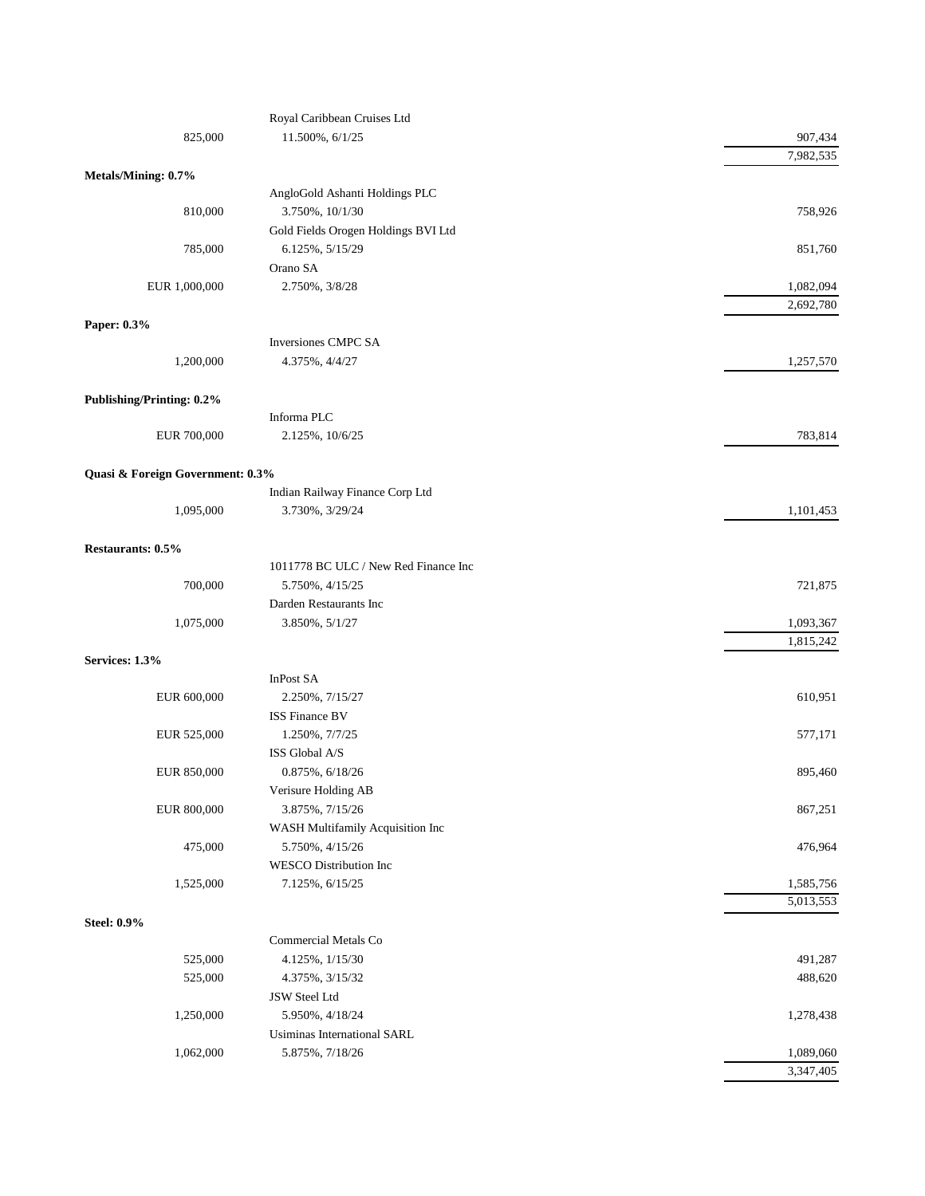|                                  | Royal Caribbean Cruises Ltd          |           |
|----------------------------------|--------------------------------------|-----------|
| 825,000                          | 11.500%, 6/1/25                      | 907,434   |
|                                  |                                      | 7,982,535 |
| Metals/Mining: 0.7%              |                                      |           |
|                                  | AngloGold Ashanti Holdings PLC       |           |
| 810,000                          | 3.750%, 10/1/30                      | 758,926   |
|                                  | Gold Fields Orogen Holdings BVI Ltd  |           |
| 785,000                          | 6.125%, 5/15/29                      | 851,760   |
|                                  | Orano SA                             |           |
| EUR 1,000,000                    | 2.750%, 3/8/28                       | 1,082,094 |
|                                  |                                      | 2,692,780 |
| Paper: 0.3%                      |                                      |           |
|                                  | <b>Inversiones CMPC SA</b>           |           |
| 1,200,000                        | 4.375%, 4/4/27                       | 1,257,570 |
|                                  |                                      |           |
| <b>Publishing/Printing: 0.2%</b> |                                      |           |
|                                  | Informa PLC                          |           |
| EUR 700,000                      | 2.125%, 10/6/25                      | 783,814   |
|                                  |                                      |           |
| Quasi & Foreign Government: 0.3% |                                      |           |
|                                  | Indian Railway Finance Corp Ltd      |           |
| 1,095,000                        | 3.730%, 3/29/24                      | 1,101,453 |
|                                  |                                      |           |
| Restaurants: 0.5%                |                                      |           |
|                                  | 1011778 BC ULC / New Red Finance Inc |           |
| 700,000                          | 5.750%, 4/15/25                      | 721,875   |
|                                  | Darden Restaurants Inc               |           |
| 1,075,000                        | 3.850%, 5/1/27                       | 1,093,367 |
|                                  |                                      | 1,815,242 |
| Services: 1.3%                   |                                      |           |
|                                  | InPost SA                            |           |
| EUR 600,000                      | 2.250%, 7/15/27                      | 610,951   |
|                                  | <b>ISS Finance BV</b>                |           |
| EUR 525,000                      | 1.250%, 7/7/25                       | 577,171   |
|                                  | ISS Global A/S                       |           |
| EUR 850,000                      | 0.875%, 6/18/26                      | 895,460   |
|                                  | Verisure Holding AB                  |           |
| EUR 800,000                      | 3.875%, 7/15/26                      | 867,251   |
|                                  | WASH Multifamily Acquisition Inc     |           |
| 475,000                          | 5.750%, 4/15/26                      | 476,964   |
|                                  | <b>WESCO</b> Distribution Inc        |           |
| 1,525,000                        | 7.125%, 6/15/25                      | 1,585,756 |
|                                  |                                      | 5,013,553 |
| <b>Steel: 0.9%</b>               |                                      |           |
|                                  | Commercial Metals Co                 |           |
| 525,000                          | 4.125%, 1/15/30                      | 491,287   |
| 525,000                          | 4.375%, 3/15/32                      | 488,620   |
|                                  | JSW Steel Ltd                        |           |
| 1,250,000                        | 5.950%, 4/18/24                      | 1,278,438 |
|                                  | Usiminas International SARL          |           |
| 1,062,000                        | 5.875%, 7/18/26                      | 1,089,060 |
|                                  |                                      | 3,347,405 |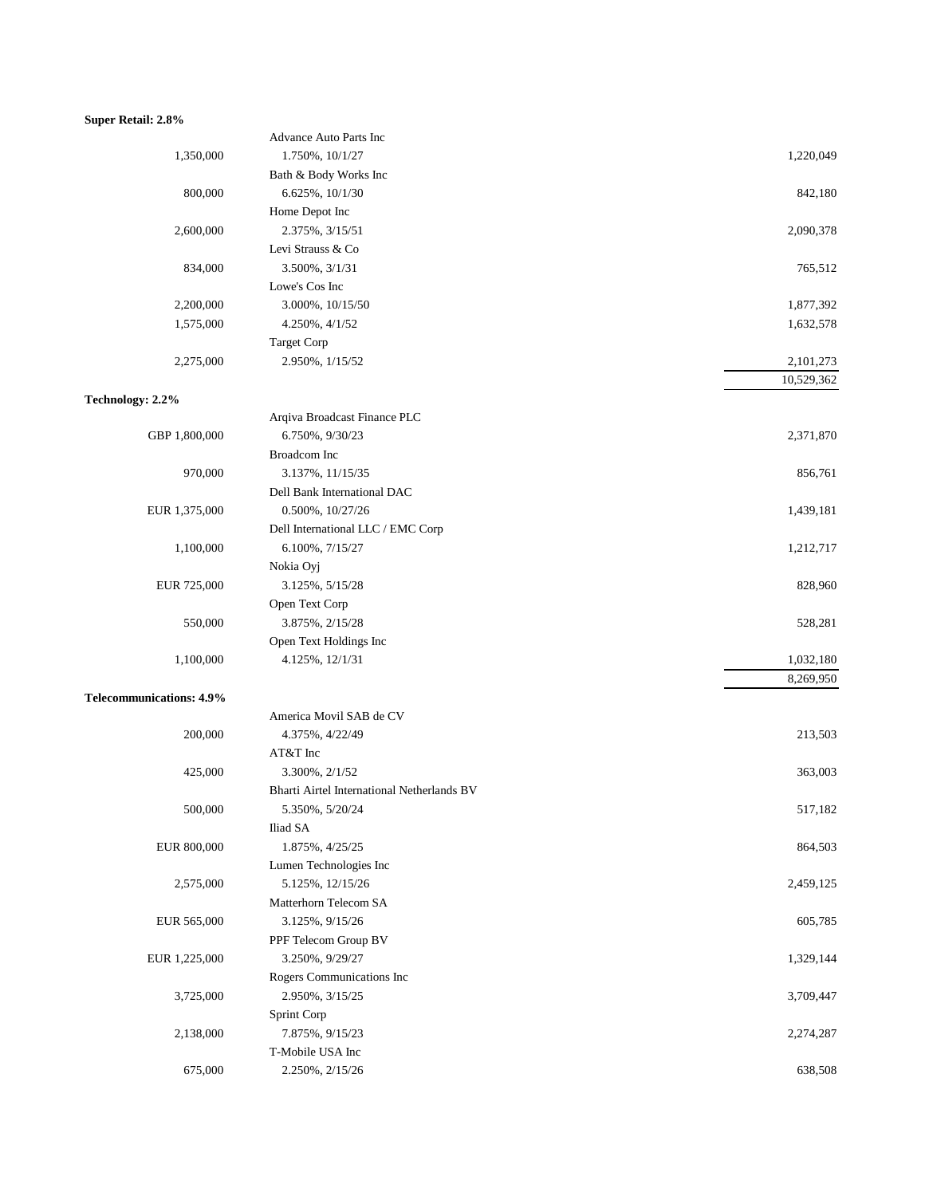### **Super Retail: 2.8%**

|                                 | Advance Auto Parts Inc                     |            |
|---------------------------------|--------------------------------------------|------------|
| 1,350,000                       | 1.750%, 10/1/27                            | 1,220,049  |
|                                 | Bath & Body Works Inc                      |            |
| 800,000                         | 6.625%, 10/1/30                            | 842,180    |
|                                 | Home Depot Inc                             |            |
| 2,600,000                       | 2.375%, 3/15/51                            | 2,090,378  |
|                                 | Levi Strauss & Co                          |            |
| 834,000                         | 3.500%, 3/1/31                             | 765,512    |
|                                 | Lowe's Cos Inc                             |            |
| 2,200,000                       | 3.000%, 10/15/50                           | 1,877,392  |
| 1,575,000                       | 4.250%, 4/1/52                             | 1,632,578  |
|                                 | <b>Target Corp</b>                         |            |
| 2,275,000                       | 2.950%, $1/15/52$                          | 2,101,273  |
|                                 |                                            | 10,529,362 |
| Technology: 2.2%                |                                            |            |
|                                 | Arqiva Broadcast Finance PLC               |            |
| GBP 1,800,000                   | 6.750%, 9/30/23                            | 2,371,870  |
|                                 | Broadcom Inc                               |            |
| 970,000                         | 3.137%, 11/15/35                           | 856,761    |
|                                 | Dell Bank International DAC                |            |
| EUR 1,375,000                   | 0.500%, 10/27/26                           | 1,439,181  |
|                                 | Dell International LLC / EMC Corp          |            |
| 1,100,000                       | 6.100%, 7/15/27                            | 1,212,717  |
|                                 |                                            |            |
|                                 | Nokia Oyj                                  |            |
| EUR 725,000                     | 3.125%, 5/15/28                            | 828,960    |
|                                 | Open Text Corp                             |            |
| 550,000                         | 3.875%, 2/15/28                            | 528,281    |
|                                 | Open Text Holdings Inc                     |            |
| 1,100,000                       | 4.125%, 12/1/31                            | 1,032,180  |
|                                 |                                            | 8,269,950  |
| <b>Telecommunications: 4.9%</b> |                                            |            |
|                                 | America Movil SAB de CV                    |            |
| 200,000                         | 4.375%, 4/22/49                            | 213,503    |
|                                 | AT&T Inc                                   |            |
| 425,000                         | 3.300%, 2/1/52                             | 363,003    |
|                                 | Bharti Airtel International Netherlands BV |            |
| 500,000                         | 5.350%, 5/20/24                            | 517,182    |
|                                 | Iliad SA                                   |            |
| EUR 800,000                     | 1.875%, 4/25/25                            | 864,503    |
|                                 | Lumen Technologies Inc                     |            |
| 2,575,000                       | 5.125%, 12/15/26                           | 2,459,125  |
|                                 | Matterhorn Telecom SA                      |            |
| EUR 565,000                     | 3.125%, 9/15/26                            | 605,785    |
|                                 | PPF Telecom Group BV                       |            |
| EUR 1,225,000                   | 3.250%, 9/29/27                            | 1,329,144  |
|                                 | Rogers Communications Inc                  |            |
| 3,725,000                       | 2.950%, 3/15/25                            | 3,709,447  |
|                                 | Sprint Corp                                |            |
| 2,138,000                       | 7.875%, 9/15/23                            | 2,274,287  |
|                                 | T-Mobile USA Inc                           |            |
| 675,000                         | 2.250%, 2/15/26                            | 638,508    |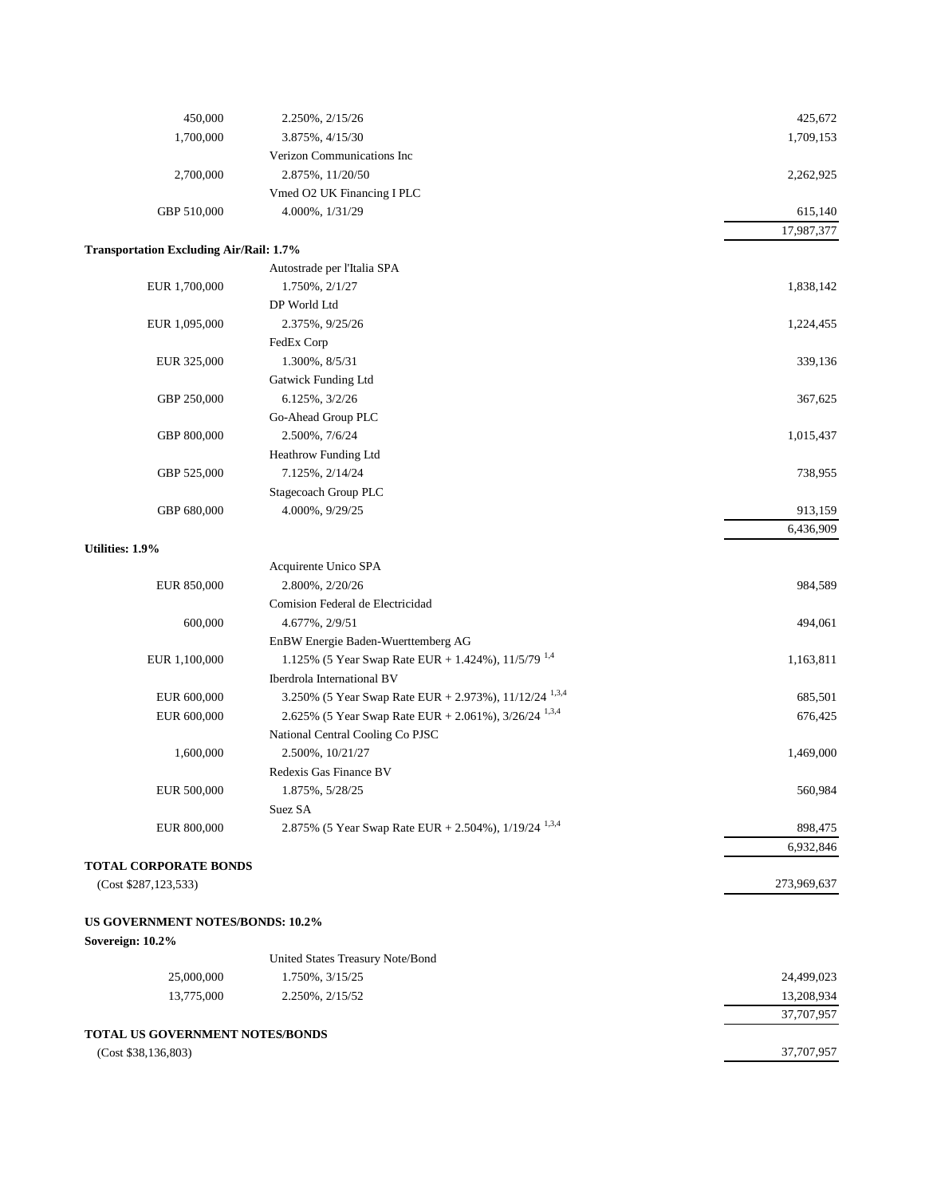| 450,000                                        | 2.250%, 2/15/26                                                    | 425,672     |
|------------------------------------------------|--------------------------------------------------------------------|-------------|
| 1,700,000                                      | 3.875%, 4/15/30                                                    | 1,709,153   |
|                                                | Verizon Communications Inc                                         |             |
| 2,700,000                                      | 2.875%, 11/20/50                                                   | 2,262,925   |
|                                                | Vmed O2 UK Financing I PLC                                         |             |
| GBP 510,000                                    | 4.000%, 1/31/29                                                    | 615,140     |
|                                                |                                                                    | 17,987,377  |
| <b>Transportation Excluding Air/Rail: 1.7%</b> |                                                                    |             |
|                                                | Autostrade per l'Italia SPA                                        |             |
| EUR 1,700,000                                  | 1.750%, 2/1/27                                                     | 1,838,142   |
|                                                | DP World Ltd                                                       |             |
| EUR 1,095,000                                  | 2.375%, 9/25/26                                                    | 1,224,455   |
|                                                | FedEx Corp                                                         |             |
| EUR 325,000                                    | 1.300%, 8/5/31                                                     | 339,136     |
|                                                | Gatwick Funding Ltd                                                |             |
| GBP 250,000                                    | 6.125%, 3/2/26                                                     | 367,625     |
|                                                | Go-Ahead Group PLC                                                 |             |
| GBP 800,000                                    | 2.500%, 7/6/24                                                     | 1,015,437   |
|                                                | Heathrow Funding Ltd                                               |             |
| GBP 525,000                                    | 7.125%, 2/14/24                                                    | 738,955     |
|                                                | Stagecoach Group PLC                                               |             |
| GBP 680,000                                    | 4.000%, 9/29/25                                                    | 913,159     |
|                                                |                                                                    | 6,436,909   |
| Utilities: 1.9%                                |                                                                    |             |
|                                                | Acquirente Unico SPA                                               |             |
| EUR 850,000                                    | 2.800%, 2/20/26                                                    | 984,589     |
|                                                | Comision Federal de Electricidad                                   |             |
| 600,000                                        | 4.677%, 2/9/51                                                     | 494,061     |
|                                                | EnBW Energie Baden-Wuerttemberg AG                                 |             |
| EUR 1,100,000                                  | 1.125% (5 Year Swap Rate EUR + 1.424%), 11/5/79 <sup>1,4</sup>     | 1,163,811   |
|                                                | Iberdrola International BV                                         |             |
| EUR 600,000                                    | 3.250% (5 Year Swap Rate EUR + 2.973%), 11/12/24 <sup>1,3,4</sup>  | 685,501     |
| EUR 600,000                                    | 2.625% (5 Year Swap Rate EUR + 2.061%), 3/26/24 <sup>1,3,4</sup>   | 676,425     |
|                                                | National Central Cooling Co PJSC                                   |             |
| 1,600,000                                      | 2.500%, 10/21/27                                                   | 1,469,000   |
|                                                | Redexis Gas Finance BV                                             |             |
| EUR 500,000                                    | 1.875%, 5/28/25                                                    | 560,984     |
|                                                | Suez SA                                                            |             |
| EUR 800,000                                    | 2.875% (5 Year Swap Rate EUR + 2.504%), $1/19/24$ <sup>1,3,4</sup> | 898,475     |
|                                                |                                                                    | 6,932,846   |
| <b>TOTAL CORPORATE BONDS</b>                   |                                                                    |             |
| (Cost \$287,123,533)                           |                                                                    | 273,969,637 |
|                                                |                                                                    |             |
| <b>US GOVERNMENT NOTES/BONDS: 10.2%</b>        |                                                                    |             |
| Sovereign: 10.2%                               |                                                                    |             |
|                                                | United States Treasury Note/Bond                                   |             |
| 25,000,000                                     | 1.750%, 3/15/25                                                    | 24,499,023  |
| 13,775,000                                     | 2.250%, 2/15/52                                                    | 13,208,934  |
|                                                |                                                                    | 37,707,957  |
| <b>TOTAL US GOVERNMENT NOTES/BONDS</b>         |                                                                    |             |
| (Cost \$38,136,803)                            |                                                                    | 37,707,957  |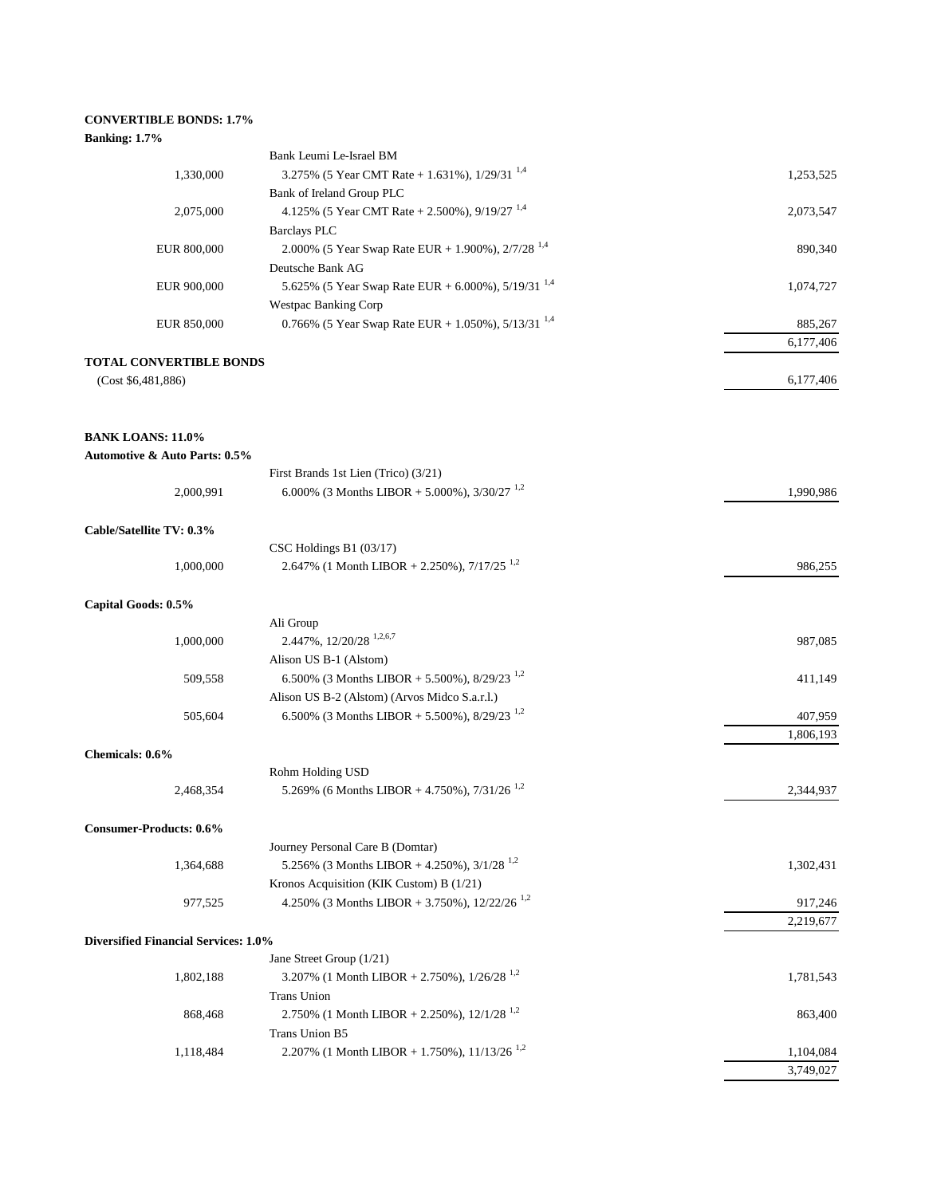# **CONVERTIBLE BONDS: 1.7%**

# **Banking: 1.7%**

|                                          | Bank Leumi Le-Israel BM                                                      |                        |
|------------------------------------------|------------------------------------------------------------------------------|------------------------|
| 1,330,000                                | 3.275% (5 Year CMT Rate + 1.631%), $1/29/31^{1,4}$                           | 1,253,525              |
|                                          | Bank of Ireland Group PLC                                                    |                        |
| 2,075,000                                | 4.125% (5 Year CMT Rate + 2.500%), $9/19/27$ <sup>1,4</sup>                  | 2,073,547              |
|                                          | <b>Barclays PLC</b>                                                          |                        |
| EUR 800,000                              | 2.000% (5 Year Swap Rate EUR + 1.900%), $2/7/28^{1,4}$                       | 890,340                |
|                                          | Deutsche Bank AG                                                             |                        |
| EUR 900,000                              | 5.625% (5 Year Swap Rate EUR + 6.000%), $5/19/31^{1,4}$                      | 1,074,727              |
|                                          | <b>Westpac Banking Corp</b>                                                  |                        |
| EUR 850,000                              | 0.766% (5 Year Swap Rate EUR + 1.050%), $5/13/31^{1,4}$                      | 885,267                |
|                                          |                                                                              | 6,177,406              |
| <b>TOTAL CONVERTIBLE BONDS</b>           |                                                                              |                        |
| (Cost \$6,481,886)                       |                                                                              | 6,177,406              |
|                                          |                                                                              |                        |
|                                          |                                                                              |                        |
| <b>BANK LOANS: 11.0%</b>                 |                                                                              |                        |
| <b>Automotive &amp; Auto Parts: 0.5%</b> |                                                                              |                        |
|                                          | First Brands 1st Lien (Trico) (3/21)                                         |                        |
| 2,000,991                                | 6.000% (3 Months LIBOR + 5.000%), $3/30/27$ <sup>1,2</sup>                   | 1,990,986              |
|                                          |                                                                              |                        |
| Cable/Satellite TV: 0.3%                 | CSC Holdings B1 $(03/17)$                                                    |                        |
| 1,000,000                                | 2.647% (1 Month LIBOR + 2.250%), $7/17/25$ <sup>1,2</sup>                    | 986,255                |
|                                          |                                                                              |                        |
| Capital Goods: 0.5%                      |                                                                              |                        |
|                                          | Ali Group                                                                    |                        |
| 1,000,000                                | 2.447%, 12/20/28 <sup>1,2,6,7</sup>                                          | 987,085                |
|                                          | Alison US B-1 (Alstom)                                                       |                        |
| 509,558                                  | 6.500% (3 Months LIBOR + 5.500%), $8/29/23$ <sup>1,2</sup>                   | 411,149                |
|                                          | Alison US B-2 (Alstom) (Arvos Midco S.a.r.l.)                                |                        |
| 505,604                                  | 6.500% (3 Months LIBOR + 5.500%), 8/29/23 <sup>1,2</sup>                     | 407,959                |
|                                          |                                                                              | 1,806,193              |
| Chemicals: 0.6%                          |                                                                              |                        |
|                                          | Rohm Holding USD                                                             |                        |
| 2,468,354                                | 5.269% (6 Months LIBOR + 4.750%), 7/31/26 <sup>1,2</sup>                     | 2,344,937              |
|                                          |                                                                              |                        |
| <b>Consumer-Products: 0.6%</b>           |                                                                              |                        |
|                                          | Journey Personal Care B (Domtar)                                             |                        |
| 1,364,688                                | 5.256% (3 Months LIBOR + 4.250%), $3/1/28$ <sup>1,2</sup>                    | 1,302,431              |
|                                          | Kronos Acquisition (KIK Custom) B (1/21)                                     |                        |
| 977,525                                  | 4.250% (3 Months LIBOR + 3.750%), $12/22/26$ <sup>1,2</sup>                  | 917,246                |
|                                          |                                                                              | 2,219,677              |
| Diversified Financial Services: 1.0%     |                                                                              |                        |
|                                          | Jane Street Group (1/21)                                                     |                        |
| 1,802,188                                | 3.207% (1 Month LIBOR + 2.750%), $1/26/28$ <sup>1,2</sup>                    | 1,781,543              |
|                                          | <b>Trans Union</b>                                                           |                        |
| 868,468                                  | 2.750% (1 Month LIBOR + 2.250%), $12/1/28$ <sup>1,2</sup>                    | 863,400                |
|                                          | Trans Union B5<br>2.207% (1 Month LIBOR + 1.750%), $11/13/26$ <sup>1,2</sup> |                        |
| 1,118,484                                |                                                                              | 1,104,084<br>3,749,027 |
|                                          |                                                                              |                        |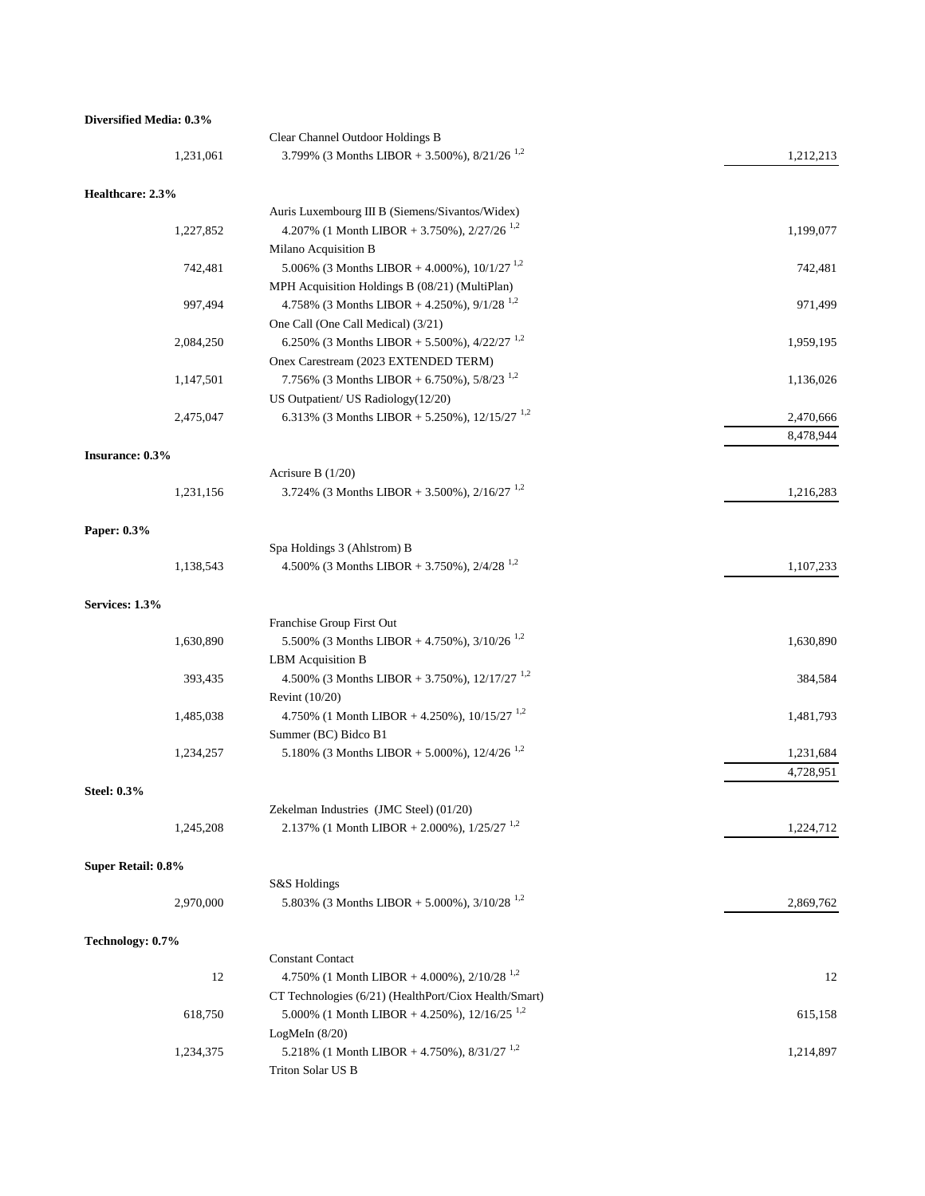### **Diversified Media: 0.3%**

|                    | Clear Channel Outdoor Holdings B                                               |           |
|--------------------|--------------------------------------------------------------------------------|-----------|
| 1,231,061          | 3.799% (3 Months LIBOR + 3.500%), $8/21/26$ <sup>1,2</sup>                     | 1,212,213 |
| Healthcare: 2.3%   |                                                                                |           |
|                    | Auris Luxembourg III B (Siemens/Sivantos/Widex)                                |           |
| 1,227,852          | 4.207% (1 Month LIBOR + 3.750%), $2/27/26$ <sup>1,2</sup>                      | 1,199,077 |
|                    | Milano Acquisition B                                                           |           |
| 742,481            | 5.006% (3 Months LIBOR + 4.000%), $10/1/27$ <sup>1,2</sup>                     | 742,481   |
|                    | MPH Acquisition Holdings B (08/21) (MultiPlan)                                 |           |
| 997,494            | 4.758% (3 Months LIBOR + 4.250%), $9/1/28$ <sup>1,2</sup>                      | 971,499   |
|                    | One Call (One Call Medical) (3/21)                                             |           |
| 2,084,250          | 6.250% (3 Months LIBOR + 5.500%), $4/22/27$ <sup>1,2</sup>                     | 1,959,195 |
|                    | Onex Carestream (2023 EXTENDED TERM)                                           |           |
| 1,147,501          | 7.756% (3 Months LIBOR + 6.750%), $5/8/23^{1,2}$                               | 1,136,026 |
|                    | US Outpatient/ US Radiology(12/20)                                             |           |
| 2,475,047          | 6.313% (3 Months LIBOR + 5.250%), $12/15/27$ <sup>1,2</sup>                    | 2,470,666 |
|                    |                                                                                | 8,478,944 |
| Insurance: 0.3%    |                                                                                |           |
|                    | Acrisure B $(1/20)$                                                            |           |
| 1,231,156          | 3.724% (3 Months LIBOR + 3.500%), $2/16/27$ <sup>1,2</sup>                     | 1,216,283 |
| Paper: 0.3%        |                                                                                |           |
|                    | Spa Holdings 3 (Ahlstrom) B                                                    |           |
| 1,138,543          | 4.500% (3 Months LIBOR + 3.750%), $2/4/28^{1.2}$                               | 1,107,233 |
| Services: 1.3%     |                                                                                |           |
|                    | Franchise Group First Out                                                      |           |
| 1,630,890          | 5.500% (3 Months LIBOR + 4.750%), $3/10/26$ <sup>1,2</sup>                     | 1,630,890 |
|                    | LBM Acquisition B                                                              |           |
| 393,435            | 4.500% (3 Months LIBOR + 3.750%), $12/17/27$ <sup>1,2</sup>                    | 384,584   |
| 1,485,038          | Revint $(10/20)$<br>4.750% (1 Month LIBOR + 4.250%), $10/15/27$ <sup>1,2</sup> | 1,481,793 |
|                    | Summer (BC) Bidco B1                                                           |           |
| 1,234,257          | 5.180% (3 Months LIBOR + 5.000%), $12/4/26$ <sup>1,2</sup>                     | 1,231,684 |
|                    |                                                                                | 4,728,951 |
| <b>Steel: 0.3%</b> |                                                                                |           |
|                    | Zekelman Industries (JMC Steel) (01/20)                                        |           |
| 1,245,208          | 2.137% (1 Month LIBOR + 2.000%), $1/25/27$ <sup>1,2</sup>                      | 1,224,712 |
| Super Retail: 0.8% |                                                                                |           |
|                    | S&S Holdings                                                                   |           |
| 2,970,000          | 5.803% (3 Months LIBOR + 5.000%), $3/10/28$ <sup>1,2</sup>                     | 2,869,762 |
| Technology: 0.7%   |                                                                                |           |
|                    | <b>Constant Contact</b>                                                        |           |
| 12                 | 4.750% (1 Month LIBOR + 4.000%), $2/10/28$ <sup>1,2</sup>                      | 12        |
|                    | CT Technologies (6/21) (HealthPort/Ciox Health/Smart)                          |           |
| 618,750            | 5.000% (1 Month LIBOR + 4.250%), $12/16/25$ <sup>1,2</sup>                     | 615,158   |
|                    | LogMeIn $(8/20)$                                                               |           |
| 1,234,375          | 5.218% (1 Month LIBOR + 4.750%), $8/31/27$ <sup>1,2</sup>                      | 1,214,897 |
|                    | Triton Solar US B                                                              |           |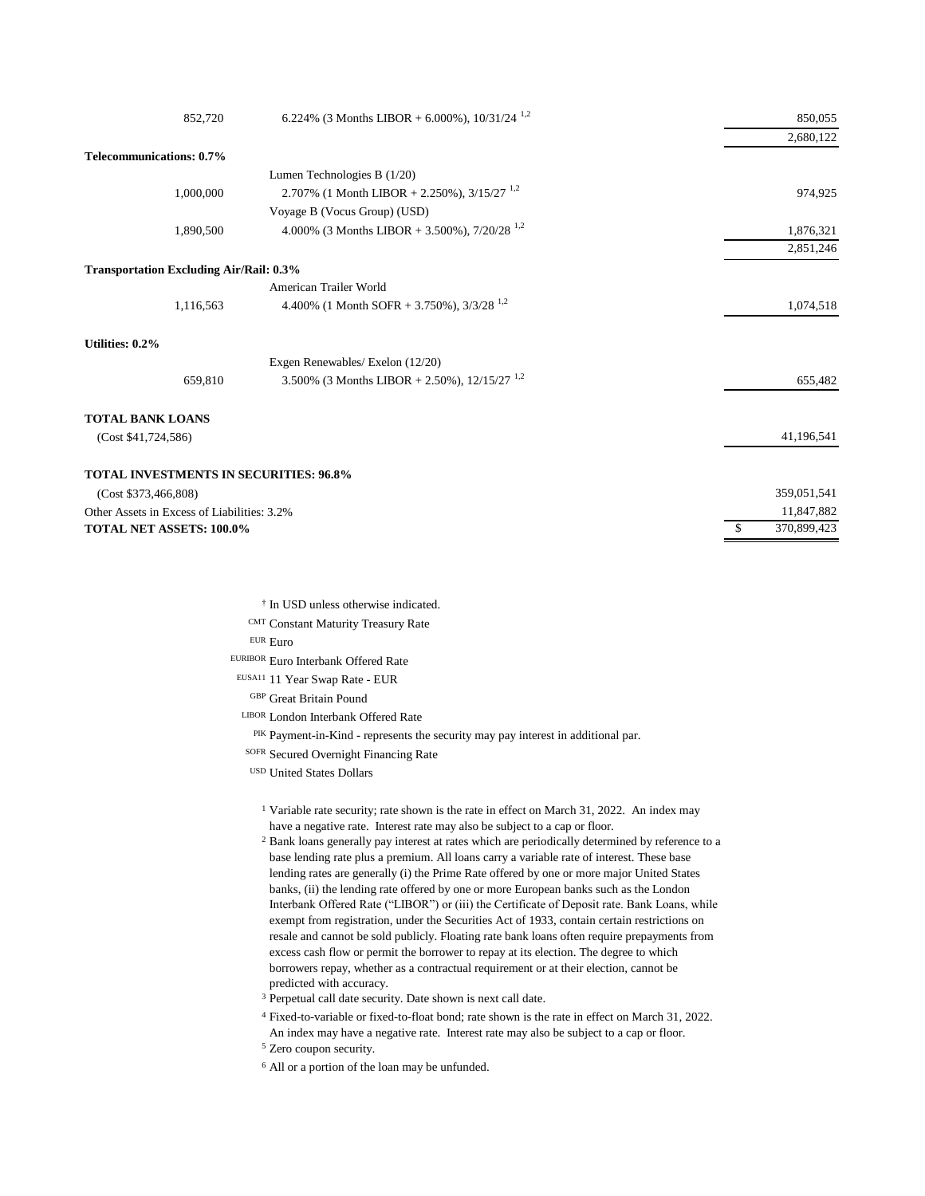| 852,720                                        | 6.224% (3 Months LIBOR + 6.000%), $10/31/24$ <sup>1,2</sup> | 850,055     |
|------------------------------------------------|-------------------------------------------------------------|-------------|
|                                                |                                                             | 2,680,122   |
| Telecommunications: 0.7%                       |                                                             |             |
|                                                | Lumen Technologies B $(1/20)$                               |             |
| 1,000,000                                      | 2.707% (1 Month LIBOR + 2.250%), $3/15/27$ <sup>1,2</sup>   | 974,925     |
|                                                | Voyage B (Vocus Group) (USD)                                |             |
| 1,890,500                                      | 4.000% (3 Months LIBOR + 3.500%), $7/20/28$ <sup>1,2</sup>  | 1,876,321   |
|                                                |                                                             | 2,851,246   |
| <b>Transportation Excluding Air/Rail: 0.3%</b> |                                                             |             |
|                                                | American Trailer World                                      |             |
| 1,116,563                                      | 4.400% (1 Month SOFR + 3.750%), $3/3/28$ <sup>1,2</sup>     | 1,074,518   |
| Utilities: 0.2%                                |                                                             |             |
|                                                | Exgen Renewables/ Exelon (12/20)                            |             |
| 659,810                                        | 3.500% (3 Months LIBOR + 2.50%), $12/15/27$ <sup>1,2</sup>  | 655,482     |
| <b>TOTAL BANK LOANS</b>                        |                                                             |             |
| (Cost \$41,724,586)                            |                                                             | 41,196,541  |
| <b>TOTAL INVESTMENTS IN SECURITIES: 96.8%</b>  |                                                             |             |
| (Cost \$373,466,808)                           |                                                             | 359,051,541 |
| Other Assets in Excess of Liabilities: 3.2%    |                                                             | 11,847,882  |
| <b>TOTAL NET ASSETS: 100.0%</b>                |                                                             | 370,899,423 |
|                                                |                                                             |             |

- † In USD unless otherwise indicated.
- CMT Constant Maturity Treasury Rate

EUR Euro

EURIBOR Euro Interbank Offered Rate

EUSA11 11 Year Swap Rate - EUR

GBP Great Britain Pound

- LIBOR London Interbank Offered Rate
	- PIK Payment-in-Kind represents the security may pay interest in additional par.

SOFR Secured Overnight Financing Rate

USD United States Dollars

<sup>1</sup> Variable rate security; rate shown is the rate in effect on March 31, 2022. An index may have a negative rate. Interest rate may also be subject to a cap or floor.

<sup>2</sup> Bank loans generally pay interest at rates which are periodically determined by reference to a base lending rate plus a premium. All loans carry a variable rate of interest. These base lending rates are generally (i) the Prime Rate offered by one or more major United States banks, (ii) the lending rate offered by one or more European banks such as the London Interbank Offered Rate ("LIBOR") or (iii) the Certificate of Deposit rate. Bank Loans, while exempt from registration, under the Securities Act of 1933, contain certain restrictions on resale and cannot be sold publicly. Floating rate bank loans often require prepayments from excess cash flow or permit the borrower to repay at its election. The degree to which borrowers repay, whether as a contractual requirement or at their election, cannot be predicted with accuracy.

- <sup>3</sup> Perpetual call date security. Date shown is next call date.
- <sup>4</sup> Fixed-to-variable or fixed-to-float bond; rate shown is the rate in effect on March 31, 2022. An index may have a negative rate. Interest rate may also be subject to a cap or floor.
- <sup>5</sup> Zero coupon security.
- <sup>6</sup> All or a portion of the loan may be unfunded.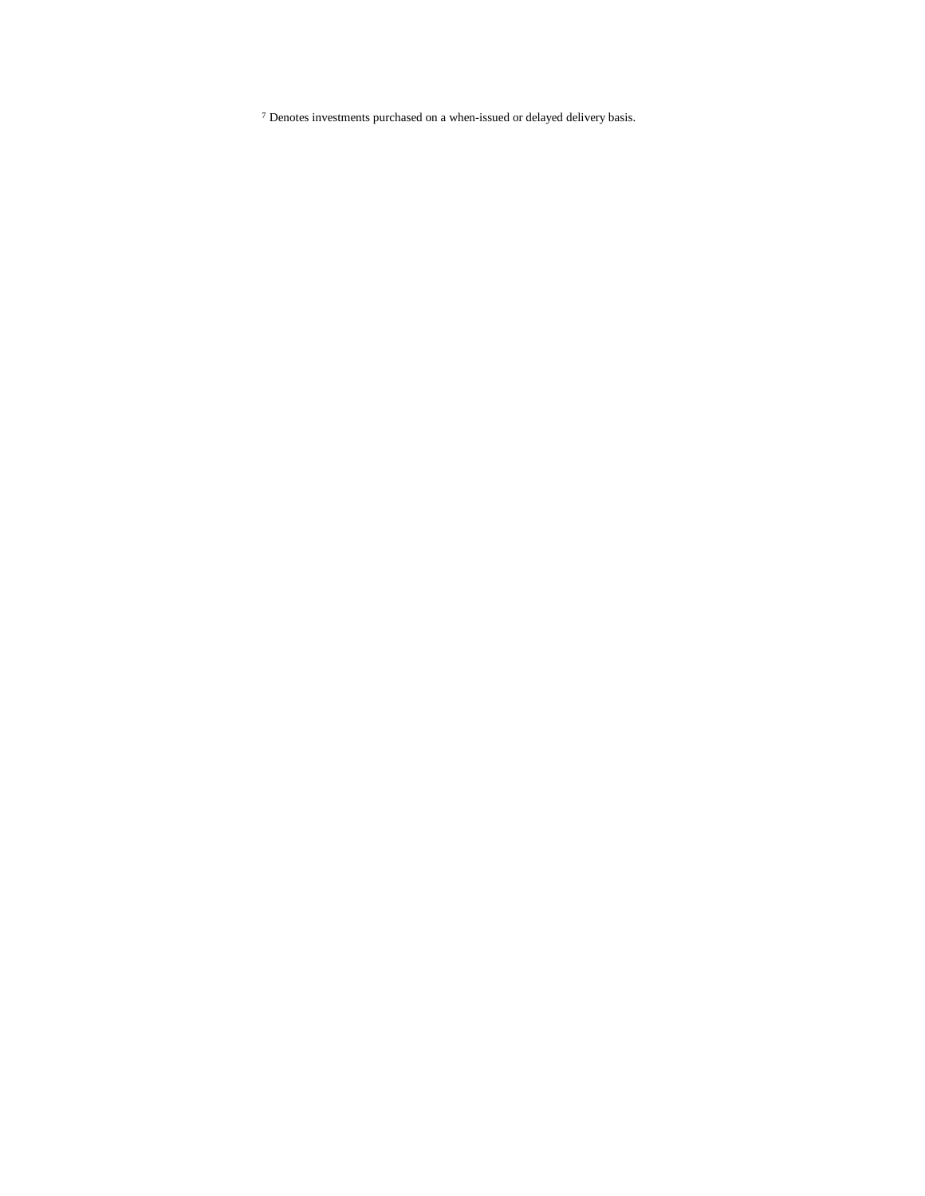Denotes investments purchased on a when-issued or delayed delivery basis.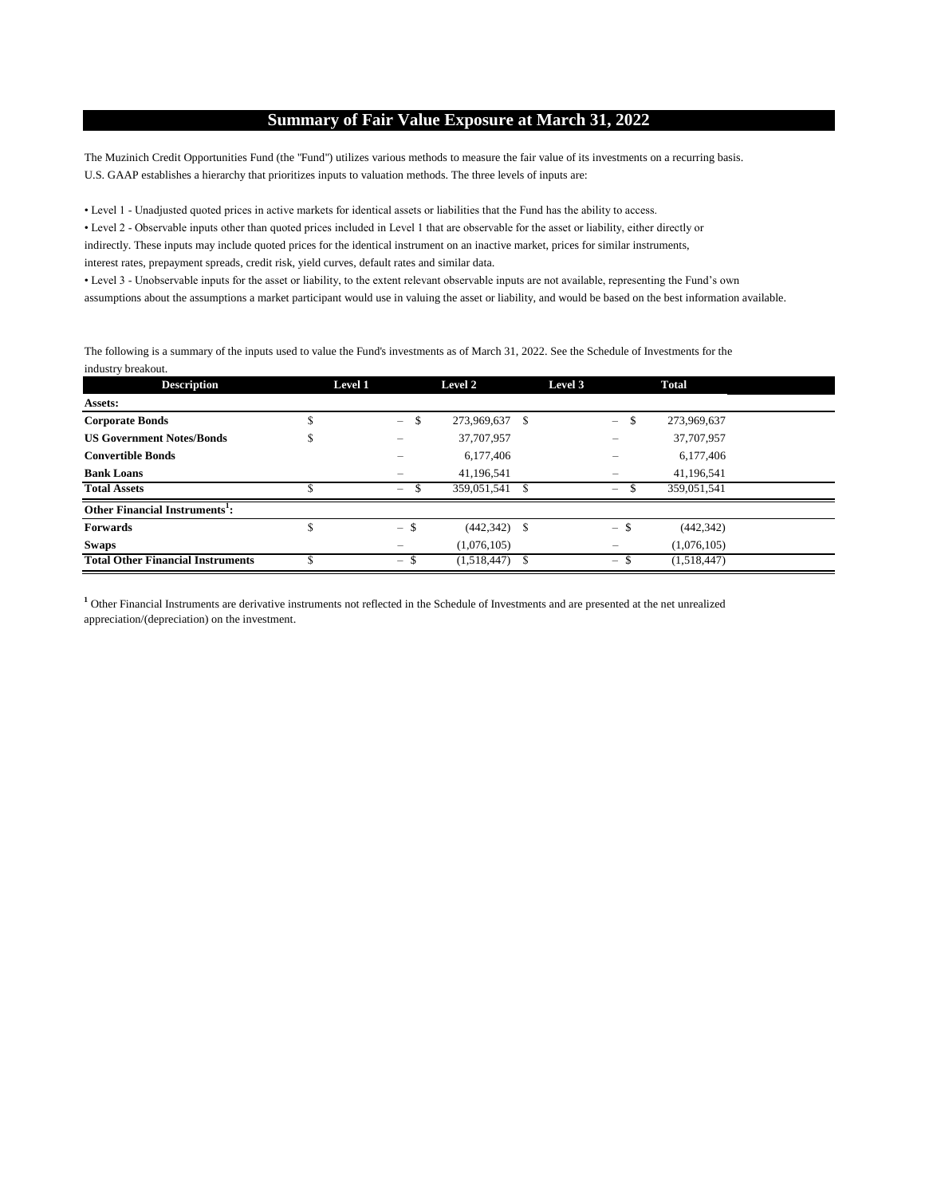## **Summary of Fair Value Exposure at March 31, 2022**

The Muzinich Credit Opportunities Fund (the "Fund") utilizes various methods to measure the fair value of its investments on a recurring basis. U.S. GAAP establishes a hierarchy that prioritizes inputs to valuation methods. The three levels of inputs are:

• Level 1 - Unadjusted quoted prices in active markets for identical assets or liabilities that the Fund has the ability to access.

• Level 2 - Observable inputs other than quoted prices included in Level 1 that are observable for the asset or liability, either directly or indirectly. These inputs may include quoted prices for the identical instrument on an inactive market, prices for similar instruments, interest rates, prepayment spreads, credit risk, yield curves, default rates and similar data.

• Level 3 - Unobservable inputs for the asset or liability, to the extent relevant observable inputs are not available, representing the Fund's own assumptions about the assumptions a market participant would use in valuing the asset or liability, and would be based on the best information available.

The following is a summary of the inputs used to value the Fund's investments as of March 31, 2022. See the Schedule of Investments for the industry breakout.

| <b>Description</b>                         | Level 1 |                                | Level 2         | Level 3 |                                  | Total       |  |
|--------------------------------------------|---------|--------------------------------|-----------------|---------|----------------------------------|-------------|--|
| Assets:                                    |         |                                |                 |         |                                  |             |  |
| <b>Corporate Bonds</b>                     |         | \$<br>$\overline{\phantom{0}}$ | 273,969,637 \$  |         | \$<br>$=$                        | 273,969,637 |  |
| <b>US Government Notes/Bonds</b>           | Φ       | -                              | 37,707,957      |         |                                  | 37,707,957  |  |
| <b>Convertible Bonds</b>                   |         |                                | 6,177,406       |         |                                  | 6,177,406   |  |
| <b>Bank Loans</b>                          |         |                                | 41,196,541      |         |                                  | 41,196,541  |  |
| <b>Total Assets</b>                        |         | $\overline{\phantom{m}}$       | 359,051,541     |         | $\overline{\phantom{0}}$         | 359,051,541 |  |
| Other Financial Instruments <sup>1</sup> : |         |                                |                 |         |                                  |             |  |
| <b>Forwards</b>                            |         | $-$ \$                         | $(442, 342)$ \$ |         | $-$ \$                           | (442, 342)  |  |
| Swaps                                      |         |                                | (1,076,105)     |         |                                  | (1,076,105) |  |
| <b>Total Other Financial Instruments</b>   |         | $-$ \$                         | (1,518,447)     |         | - \$<br>$\overline{\phantom{a}}$ | (1,518,447) |  |

**1** Other Financial Instruments are derivative instruments not reflected in the Schedule of Investments and are presented at the net unrealized appreciation/(depreciation) on the investment.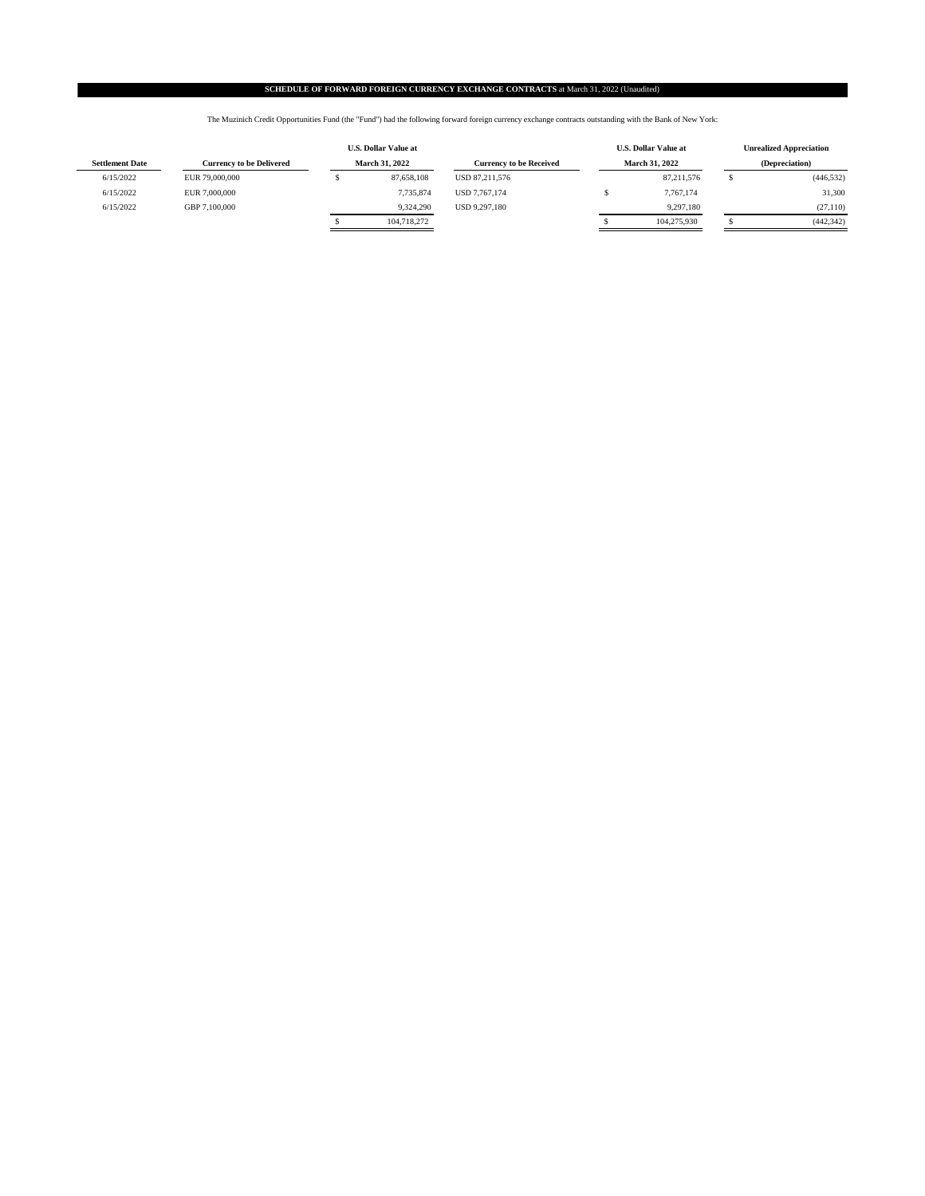#### **SCHEDULE OF FORWARD FOREIGN CURRENCY EXCHANGE CONTRACTS** at March 31, 2022 (Unaudited)

The Muzinich Credit Opportunities Fund (the "Fund") had the following forward foreign currency exchange contracts outstanding with the Bank of New York:

|                        |                                 |                       | <b>U.S. Dollar Value at</b> |                                |  | <b>U.S. Dollar Value at</b> | <b>Unrealized Appreciation</b> |                       |  |                |
|------------------------|---------------------------------|-----------------------|-----------------------------|--------------------------------|--|-----------------------------|--------------------------------|-----------------------|--|----------------|
| <b>Settlement Date</b> | <b>Currency to be Delivered</b> | <b>March 31, 2022</b> |                             | <b>Currency to be Received</b> |  |                             |                                | <b>March 31, 2022</b> |  | (Depreciation) |
| 6/15/2022              | EUR 79,000,000                  |                       | 87,658,108                  | USD 87.211.576                 |  | 87.211.576                  |                                | (446, 532)            |  |                |
| 6/15/2022              | EUR 7,000,000                   |                       | 7.735.874                   | USD 7.767.174                  |  | 7,767,174                   |                                | 31,300                |  |                |
| 6/15/2022              | GBP 7.100,000                   |                       | 9.324.290                   | <b>USD 9.297.180</b>           |  | 9,297,180                   |                                | (27, 110)             |  |                |
|                        |                                 |                       | 104,718,272                 |                                |  | 104.275.930                 |                                | (442, 342)            |  |                |